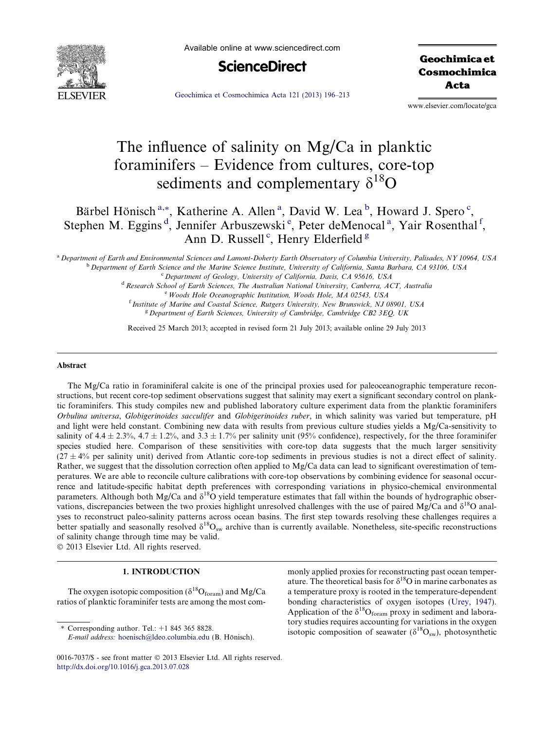

Available online at www.sciencedirect.com



Geochimica et Cosmochimica Acta

[Geochimica et Cosmochimica Acta 121 \(2013\) 196–213](http://dx.doi.org/10.1016/j.gca.2013.07.028)

www.elsevier.com/locate/gca

# The influence of salinity on Mg/Ca in planktic foraminifers – Evidence from cultures, core-top sediments and complementary  $\delta^{18}O$

Bärbel Hönisch<sup>[a](#page-0-0),\*</sup>, Katherine A. Allen<sup>a</sup>, David W. Lea<sup>[b](#page-0-0)</sup>, Howard J. Spero<sup>[c](#page-0-0)</sup>, Stephen M. Eggins<sup>[d](#page-0-0)</sup>, J[e](#page-0-0)nnifer Arbuszewski<sup>e</sup>, Peter deMenoc[a](#page-0-0)l<sup>a</sup>, Yair Rosenthal<sup>[f](#page-0-0)</sup>, Ann D. Russell<sup>[c](#page-0-0)</sup>, Henry Elderfield<sup>[g](#page-0-0)</sup>

<sup>a</sup> Department of Earth and Environmental Sciences and Lamont-Doherty Earth Observatory of Columbia University, Palisades, NY 10964, USA<br><sup>b</sup> Department of Earth Science and the Marine Science Institute, University of Calif

Woods Hole Oceanographic Institution, Woods Hole, MA 02543, USA <sup>f</sup> Institute of Marine and Coastal Science, Rutgers University, New Brunswick, NJ 08901, USA<br><sup>g</sup> Department of Earth Sciences, University of Cambridge, Cambridge CB2 3EQ, UK

Received 25 March 2013; accepted in revised form 21 July 2013; available online 29 July 2013

#### Abstract

The Mg/Ca ratio in foraminiferal calcite is one of the principal proxies used for paleoceanographic temperature reconstructions, but recent core-top sediment observations suggest that salinity may exert a significant secondary control on planktic foraminifers. This study compiles new and published laboratory culture experiment data from the planktic foraminifers Orbulina universa, Globigerinoides sacculifer and Globigerinoides ruber, in which salinity was varied but temperature, pH and light were held constant. Combining new data with results from previous culture studies yields a Mg/Ca-sensitivity to salinity of  $4.4 \pm 2.3$ %,  $4.7 \pm 1.2$ %, and  $3.3 \pm 1.7$ % per salinity unit (95% confidence), respectively, for the three foraminifer species studied here. Comparison of these sensitivities with core-top data suggests that the much larger sensitivity  $(27 \pm 4\%$  per salinity unit) derived from Atlantic core-top sediments in previous studies is not a direct effect of salinity. Rather, we suggest that the dissolution correction often applied to Mg/Ca data can lead to significant overestimation of temperatures. We are able to reconcile culture calibrations with core-top observations by combining evidence for seasonal occurrence and latitude-specific habitat depth preferences with corresponding variations in physico-chemical environmental parameters. Although both Mg/Ca and  $\delta^{18}O$  yield temperature estimates that fall within the bounds of hydrographic observations, discrepancies between the two proxies highlight unresolved challenges with the use of paired Mg/Ca and  $\delta^{18}O$  analyses to reconstruct paleo-salinity patterns across ocean basins. The first step towards resolving these challenges requires a better spatially and seasonally resolved  $\delta^{18}O_{\text{sw}}$  archive than is currently available. Nonetheless, site-specific reconstructions of salinity change through time may be valid.  $© 2013 Elsevier Ltd. All rights reserved.$ 

#### 1. INTRODUCTION

The oxygen isotopic composition ( $\delta^{18}O_{\text{form}}$ ) and Mg/Ca ratios of planktic foraminifer tests are among the most com-

 $*$  Corresponding author. Tel.:  $+1$  845 365 8828.

monly applied proxies for reconstructing past ocean temperature. The theoretical basis for  $\delta^{18}$ O in marine carbonates as a temperature proxy is rooted in the temperature-dependent bonding characteristics of oxygen isotopes ([Urey, 1947\)](#page-16-0). Application of the  $\delta^{18}O_{\text{form}}$  proxy in sediment and laboratory studies requires accounting for variations in the oxygen isotopic composition of seawater ( $\delta^{18}O_{sw}$ ), photosynthetic

E-mail address: [hoenisch@ldeo.columbia.edu](mailto:hoenisch@ldeo.columbia.edu) (B. Hönisch).

<span id="page-0-0"></span><sup>0016-7037/\$ -</sup> see front matter © 2013 Elsevier Ltd. All rights reserved. <http://dx.doi.org/10.1016/j.gca.2013.07.028>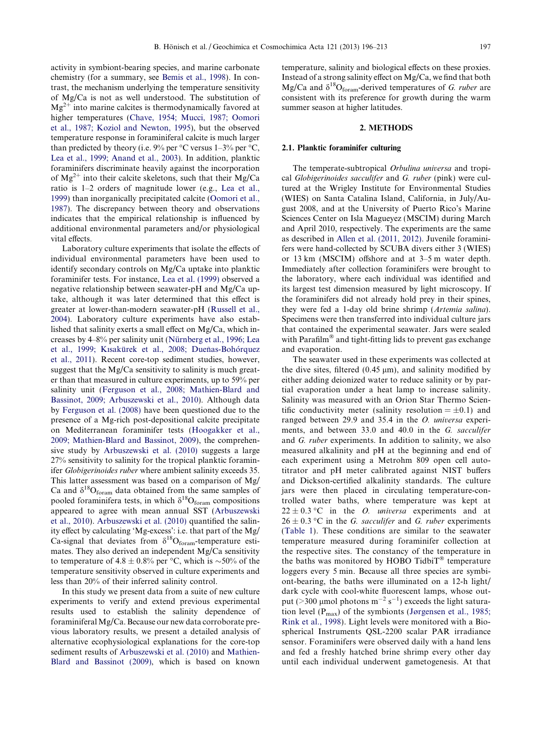activity in symbiont-bearing species, and marine carbonate chemistry (for a summary, see [Bemis et al., 1998](#page-15-0)). In contrast, the mechanism underlying the temperature sensitivity of Mg/Ca is not as well understood. The substitution of  $Mg^{2+}$  into marine calcites is thermodynamically favored at higher temperatures [\(Chave, 1954; Mucci, 1987; Oomori](#page-15-0) [et al., 1987; Koziol and Newton, 1995](#page-15-0)), but the observed temperature response in foraminiferal calcite is much larger than predicted by theory (i.e.  $9\%$  per °C versus 1–3% per °C, [Lea et al., 1999; Anand et al., 2003\)](#page-15-0). In addition, planktic foraminifers discriminate heavily against the incorporation of  $Mg^{2+}$  into their calcite skeletons, such that their  $Mg/Ca$ ratio is 1–2 orders of magnitude lower (e.g., [Lea et al.,](#page-15-0) [1999](#page-15-0)) than inorganically precipitated calcite ([Oomori et al.,](#page-16-0) [1987](#page-16-0)). The discrepancy between theory and observations indicates that the empirical relationship is influenced by additional environmental parameters and/or physiological vital effects.

Laboratory culture experiments that isolate the effects of individual environmental parameters have been used to identify secondary controls on Mg/Ca uptake into planktic foraminifer tests. For instance, [Lea et al. \(1999\)](#page-15-0) observed a negative relationship between seawater-pH and Mg/Ca uptake, although it was later determined that this effect is greater at lower-than-modern seawater-pH [\(Russell et al.,](#page-16-0) [2004](#page-16-0)). Laboratory culture experiments have also established that salinity exerts a small effect on Mg/Ca, which increases by 4–8% per salinity unit [\(Nu¨rnberg et al., 1996; Lea](#page-16-0) et al., 1999; Kısakürek et al., 2008; Dueñas-Bohórquez [et al., 2011](#page-16-0)). Recent core-top sediment studies, however, suggest that the Mg/Ca sensitivity to salinity is much greater than that measured in culture experiments, up to 59% per salinity unit [\(Ferguson et al., 2008; Mathien-Blard and](#page-15-0) [Bassinot, 2009; Arbuszewski et al., 2010\)](#page-15-0). Although data by [Ferguson et al. \(2008\)](#page-15-0) have been questioned due to the presence of a Mg-rich post-depositional calcite precipitate on Mediterranean foraminifer tests ([Hoogakker et al.,](#page-15-0) [2009; Mathien-Blard and Bassinot, 2009](#page-15-0)), the comprehensive study by [Arbuszewski et al. \(2010\)](#page-15-0) suggests a large 27% sensitivity to salinity for the tropical planktic foraminifer Globigerinoides ruber where ambient salinity exceeds 35. This latter assessment was based on a comparison of Mg/ Ca and  $\delta^{18}O_{\text{form}}$  data obtained from the same samples of pooled foraminifera tests, in which  $\delta^{18}O_{\text{form}}$  compositions appeared to agree with mean annual SST ([Arbuszewski](#page-15-0) [et al., 2010](#page-15-0)). [Arbuszewski et al. \(2010\)](#page-15-0) quantified the salinity effect by calculating 'Mg-excess': i.e. that part of the Mg/ Ca-signal that deviates from  $\delta^{18}O_{\text{form}}$ -temperature estimates. They also derived an independent Mg/Ca sensitivity to temperature of 4.8  $\pm$  0.8% per °C, which is  $\sim$ 50% of the temperature sensitivity observed in culture experiments and less than 20% of their inferred salinity control.

In this study we present data from a suite of new culture experiments to verify and extend previous experimental results used to establish the salinity dependence of foraminiferal Mg/Ca. Because our new data corroborate previous laboratory results, we present a detailed analysis of alternative ecophysiological explanations for the core-top sediment results of [Arbuszewski et al. \(2010\)](#page-15-0) and [Mathien-](#page-16-0)[Blard and Bassinot \(2009\),](#page-16-0) which is based on known

temperature, salinity and biological effects on these proxies. Instead of a strong salinity effect on Mg/Ca, we find that both Mg/Ca and  $\delta^{18}O_{\text{form}}$ -derived temperatures of G. ruber are consistent with its preference for growth during the warm summer season at higher latitudes.

#### 2. METHODS

#### 2.1. Planktic foraminifer culturing

The temperate-subtropical Orbulina universa and tropical Globigerinoides sacculifer and G. ruber (pink) were cultured at the Wrigley Institute for Environmental Studies (WIES) on Santa Catalina Island, California, in July/August 2008, and at the University of Puerto Rico's Marine Sciences Center on Isla Magueyez (MSCIM) during March and April 2010, respectively. The experiments are the same as described in [Allen et al. \(2011, 2012\)](#page-15-0). Juvenile foraminifers were hand-collected by SCUBA divers either 3 (WIES) or 13 km (MSCIM) offshore and at 3–5 m water depth. Immediately after collection foraminifers were brought to the laboratory, where each individual was identified and its largest test dimension measured by light microscopy. If the foraminifers did not already hold prey in their spines, they were fed a 1-day old brine shrimp (Artemia salina). Specimens were then transferred into individual culture jars that contained the experimental seawater. Jars were sealed with Parafilm $^{\circledR}$  and tight-fitting lids to prevent gas exchange and evaporation.

The seawater used in these experiments was collected at the dive sites, filtered  $(0.45 \mu m)$ , and salinity modified by either adding deionized water to reduce salinity or by partial evaporation under a heat lamp to increase salinity. Salinity was measured with an Orion Star Thermo Scientific conductivity meter (salinity resolution  $= \pm 0.1$ ) and ranged between 29.9 and 35.4 in the O. universa experiments, and between 33.0 and 40.0 in the G. sacculifer and G. ruber experiments. In addition to salinity, we also measured alkalinity and pH at the beginning and end of each experiment using a Metrohm 809 open cell autotitrator and pH meter calibrated against NIST buffers and Dickson-certified alkalinity standards. The culture jars were then placed in circulating temperature-controlled water baths, where temperature was kept at  $22 \pm 0.3$  °C in the *O. universa* experiments and at  $26 \pm 0.3$  °C in the *G. sacculifer* and *G. ruber* experiments [\(Table 1\)](#page-2-0). These conditions are similar to the seawater temperature measured during foraminifer collection at the respective sites. The constancy of the temperature in the baths was monitored by HOBO Tidbi $T^{\infty}$  temperature loggers every 5 min. Because all three species are symbiont-bearing, the baths were illuminated on a 12-h light/ dark cycle with cool-white fluorescent lamps, whose output (>300 µmol photons  $m^{-2}$  s<sup>-1</sup>) exceeds the light saturation level  $(P_{max})$  of the symbionts [\(Jørgensen et al., 1985;](#page-15-0) [Rink et al., 1998\)](#page-15-0). Light levels were monitored with a Biospherical Instruments QSL-2200 scalar PAR irradiance sensor. Foraminifers were observed daily with a hand lens and fed a freshly hatched brine shrimp every other day until each individual underwent gametogenesis. At that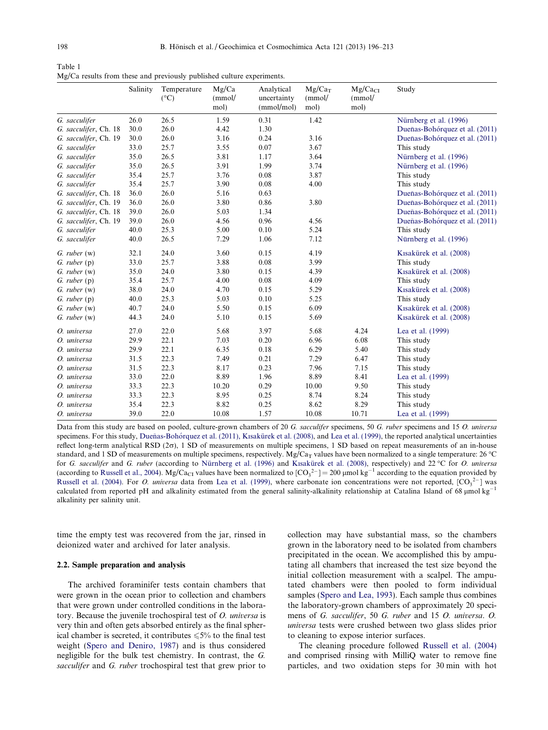Table 1 Mg/Ca results from these and previously published culture experiments.

|                       | Salinity | Temperature<br>$(^{\circ}C)$ | Mg/Ca<br>(mmol/<br>mol) | Analytical<br>uncertainty<br>(mmol/mol) | $Mg/Ca_T$<br>(mmol/<br>mol) | $Mg/Ca_{CI}$<br>(mmol/<br>mol) | Study                          |
|-----------------------|----------|------------------------------|-------------------------|-----------------------------------------|-----------------------------|--------------------------------|--------------------------------|
| G. sacculifer         | 26.0     | 26.5                         | 1.59                    | 0.31                                    | 1.42                        |                                | Nürnberg et al. (1996)         |
| G. sacculifer, Ch. 18 | 30.0     | 26.0                         | 4.42                    | 1.30                                    |                             |                                | Dueñas-Bohórquez et al. (2011) |
| G. sacculifer, Ch. 19 | 30.0     | 26.0                         | 3.16                    | 0.24                                    | 3.16                        |                                | Dueñas-Bohórquez et al. (2011) |
| G. sacculifer         | 33.0     | 25.7                         | 3.55                    | 0.07                                    | 3.67                        |                                | This study                     |
| G. sacculifer         | 35.0     | 26.5                         | 3.81                    | 1.17                                    | 3.64                        |                                | Nürnberg et al. (1996)         |
| G. sacculifer         | 35.0     | 26.5                         | 3.91                    | 1.99                                    | 3.74                        |                                | Nürnberg et al. (1996)         |
| G. sacculifer         | 35.4     | 25.7                         | 3.76                    | 0.08                                    | 3.87                        |                                | This study                     |
| G. sacculifer         | 35.4     | 25.7                         | 3.90                    | 0.08                                    | 4.00                        |                                | This study                     |
| G. sacculifer, Ch. 18 | 36.0     | 26.0                         | 5.16                    | 0.63                                    |                             |                                | Dueñas-Bohórquez et al. (2011) |
| G. sacculifer, Ch. 19 | 36.0     | 26.0                         | 3.80                    | 0.86                                    | 3.80                        |                                | Dueñas-Bohórquez et al. (2011) |
| G. sacculifer, Ch. 18 | 39.0     | 26.0                         | 5.03                    | 1.34                                    |                             |                                | Dueñas-Bohórquez et al. (2011) |
| G. sacculifer, Ch. 19 | 39.0     | 26.0                         | 4.56                    | 0.96                                    | 4.56                        |                                | Dueñas-Bohórquez et al. (2011) |
| G. sacculifer         | 40.0     | 25.3                         | 5.00                    | 0.10                                    | 5.24                        |                                | This study                     |
| G. sacculifer         | 40.0     | 26.5                         | 7.29                    | 1.06                                    | 7.12                        |                                | Nürnberg et al. (1996)         |
| G. ruber (w)          | 32.1     | 24.0                         | 3.60                    | 0.15                                    | 4.19                        |                                | Kısakürek et al. (2008)        |
| $G.$ ruber $(p)$      | 33.0     | 25.7                         | 3.88                    | 0.08                                    | 3.99                        |                                | This study                     |
| $G.$ ruber $(w)$      | 35.0     | 24.0                         | 3.80                    | 0.15                                    | 4.39                        |                                | Kısakürek et al. (2008)        |
| $G.$ ruber $(p)$      | 35.4     | 25.7                         | 4.00                    | 0.08                                    | 4.09                        |                                | This study                     |
| $G.$ ruber $(w)$      | 38.0     | 24.0                         | 4.70                    | 0.15                                    | 5.29                        |                                | Kısakürek et al. (2008)        |
| G. ruber (p)          | 40.0     | 25.3                         | 5.03                    | 0.10                                    | 5.25                        |                                | This study                     |
| $G.$ ruber $(w)$      | 40.7     | 24.0                         | 5.50                    | 0.15                                    | 6.09                        |                                | Kısakürek et al. (2008)        |
| $G.$ ruber $(w)$      | 44.3     | 24.0                         | 5.10                    | 0.15                                    | 5.69                        |                                | Kısakürek et al. (2008)        |
| O. universa           | 27.0     | 22.0                         | 5.68                    | 3.97                                    | 5.68                        | 4.24                           | Lea et al. (1999)              |
| O. universa           | 29.9     | 22.1                         | 7.03                    | 0.20                                    | 6.96                        | 6.08                           | This study                     |
| O. universa           | 29.9     | 22.1                         | 6.35                    | 0.18                                    | 6.29                        | 5.40                           | This study                     |
| O. universa           | 31.5     | 22.3                         | 7.49                    | 0.21                                    | 7.29                        | 6.47                           | This study                     |
| O. universa           | 31.5     | 22.3                         | 8.17                    | 0.23                                    | 7.96                        | 7.15                           | This study                     |
| O. universa           | 33.0     | 22.0                         | 8.89                    | 1.96                                    | 8.89                        | 8.41                           | Lea et al. (1999)              |
| O. universa           | 33.3     | 22.3                         | 10.20                   | 0.29                                    | 10.00                       | 9.50                           | This study                     |
| O. universa           | 33.3     | 22.3                         | 8.95                    | 0.25                                    | 8.74                        | 8.24                           | This study                     |
| O. universa           | 35.4     | 22.3                         | 8.82                    | 0.25                                    | 8.62                        | 8.29                           | This study                     |
| O. universa           | 39.0     | 22.0                         | 10.08                   | 1.57                                    | 10.08                       | 10.71                          | Lea et al. (1999)              |

Data from this study are based on pooled, culture-grown chambers of 20 G. sacculifer specimens, 50 G. ruber specimens and 15 O. universa specimens. For this study, Dueñas-Bohórquez et al. (2011), Kısakürek et al. (2008), and [Lea et al. \(1999\)](#page-15-0), the reported analytical uncertainties reflect long-term analytical RSD (2 $\sigma$ ), 1 SD of measurements on multiple specimens, 1 SD based on repeat measurements of an in-house standard, and 1 SD of measurements on multiple specimens, respectively. Mg/Ca<sub>T</sub> values have been normalized to a single temperature: 26 °C for G. sacculifer and G. ruber (according to Nürnberg et al. (1996) and Kısakürek et al. (2008), respectively) and 22 °C for O. universa (according to [Russell et al., 2004\)](#page-16-0). Mg/Ca<sub>CI</sub> values have been normalized to  $[CO_3^2] = 200$  µmol kg<sup>-1</sup> according to the equation provided by [Russell et al. \(2004\)](#page-16-0). For *O. universa* data from [Lea et al. \(1999\),](#page-15-0) where carbonate ion concentrations were not reported,  $[CO<sub>3</sub><sup>2–</sup>]$  was calculated from reported pH and alkalinity estimated from the general salinity-alkalinity relationship at Catalina Island of 68  $\mu$ mol kg<sup>-1</sup> alkalinity per salinity unit.

time the empty test was recovered from the jar, rinsed in deionized water and archived for later analysis.

## 2.2. Sample preparation and analysis

<span id="page-2-0"></span>The archived foraminifer tests contain chambers that were grown in the ocean prior to collection and chambers that were grown under controlled conditions in the laboratory. Because the juvenile trochospiral test of O. universa is very thin and often gets absorbed entirely as the final spherical chamber is secreted, it contributes  $\leq 5\%$  to the final test weight [\(Spero and Deniro, 1987](#page-16-0)) and is thus considered negligible for the bulk test chemistry. In contrast, the G. sacculifer and G. ruber trochospiral test that grew prior to

collection may have substantial mass, so the chambers grown in the laboratory need to be isolated from chambers precipitated in the ocean. We accomplished this by amputating all chambers that increased the test size beyond the initial collection measurement with a scalpel. The amputated chambers were then pooled to form individual samples [\(Spero and Lea, 1993\)](#page-16-0). Each sample thus combines the laboratory-grown chambers of approximately 20 specimens of G. sacculifer, 50 G. ruber and 15 O. universa. O. universa tests were crushed between two glass slides prior to cleaning to expose interior surfaces.

The cleaning procedure followed [Russell et al. \(2004\)](#page-16-0) and comprised rinsing with MilliQ water to remove fine particles, and two oxidation steps for 30 min with hot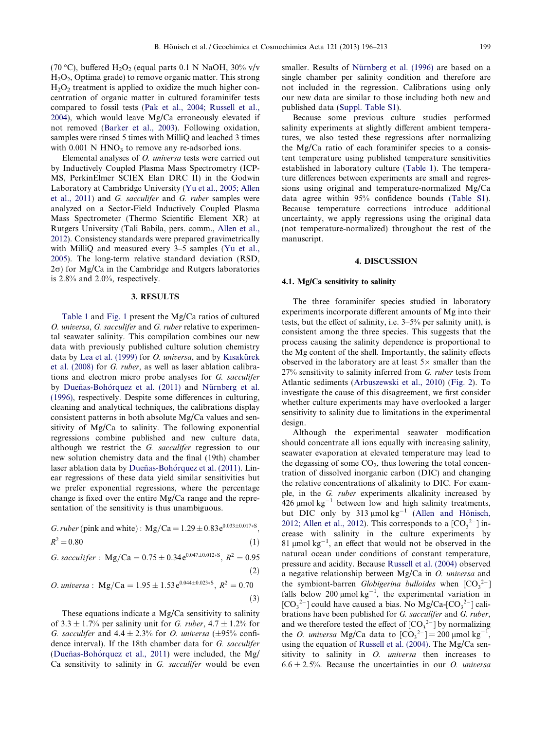(70 °C), buffered  $H_2O_2$  (equal parts 0.1 N NaOH, 30% v/v H2O2, Optima grade) to remove organic matter. This strong  $H<sub>2</sub>O<sub>2</sub>$  treatment is applied to oxidize the much higher concentration of organic matter in cultured foraminifer tests compared to fossil tests [\(Pak et al., 2004; Russell et al.,](#page-16-0) [2004](#page-16-0)), which would leave Mg/Ca erroneously elevated if not removed [\(Barker et al., 2003\)](#page-15-0). Following oxidation, samples were rinsed 5 times with MilliQ and leached 3 times with  $0.001$  N HNO<sub>3</sub> to remove any re-adsorbed ions.

Elemental analyses of O. universa tests were carried out by Inductively Coupled Plasma Mass Spectrometry (ICP-MS, PerkinElmer SCIEX Elan DRC II) in the Godwin Laboratory at Cambridge University ([Yu et al., 2005; Allen](#page-17-0) [et al., 2011](#page-17-0)) and G. sacculifer and G. ruber samples were analyzed on a Sector-Field Inductively Coupled Plasma Mass Spectrometer (Thermo Scientific Element XR) at Rutgers University (Tali Babila, pers. comm., [Allen et al.,](#page-15-0) [2012](#page-15-0)). Consistency standards were prepared gravimetrically with MilliQ and measured every 3–5 samples ([Yu et al.,](#page-17-0) [2005](#page-17-0)). The long-term relative standard deviation (RSD,  $2\sigma$ ) for Mg/Ca in the Cambridge and Rutgers laboratories is 2.8% and 2.0%, respectively.

#### 3. RESULTS

[Table 1](#page-2-0) and [Fig. 1](#page-4-0) present the Mg/Ca ratios of cultured O. universa, G. sacculifer and G. ruber relative to experimental seawater salinity. This compilation combines our new data with previously published culture solution chemistry data by [Lea et al. \(1999\)](#page-15-0) for  $O.$  universa, and by Kısakürek [et al. \(2008\)](#page-15-0) for G. ruber, as well as laser ablation calibrations and electron micro probe analyses for G. sacculifer by Dueñas-Bohórquez et al. (2011) and Nürnberg et al. [\(1996\)](#page-16-0), respectively. Despite some differences in culturing, cleaning and analytical techniques, the calibrations display consistent patterns in both absolute Mg/Ca values and sensitivity of Mg/Ca to salinity. The following exponential regressions combine published and new culture data, although we restrict the G. sacculifer regression to our new solution chemistry data and the final (19th) chamber laser ablation data by Dueñas-Bohórquez et al. (2011). Linear regressions of these data yield similar sensitivities but we prefer exponential regressions, where the percentage change is fixed over the entire Mg/Ca range and the representation of the sensitivity is thus unambiguous.

G. *ruber* (pink and white): Mg/Ca = 
$$
1.29 \pm 0.83e^{0.033\pm 0.017*8}
$$
,  
 $R^2 = 0.80$  (1)

G. *sacculifer* : Mg/Ca = 
$$
0.75 \pm 0.34 e^{0.047 \pm 0.012 * S}
$$
,  $R^2 = 0.95$  (2)

*O. universa*: Mg/Ca = 
$$
1.95 \pm 1.53 e^{0.044 \pm 0.023 * S}
$$
,  $R^2 = 0.70$  (3)

<span id="page-3-0"></span>These equations indicate a Mg/Ca sensitivity to salinity of 3.3  $\pm$  1.7% per salinity unit for *G. ruber*, 4.7  $\pm$  1.2% for G. sacculifer and  $4.4 \pm 2.3\%$  for O. universa ( $\pm 95\%$  confidence interval). If the 18th chamber data for G. sacculifer (Dueñas-Bohórquez et al., 2011) were included, the  $Mg$ Ca sensitivity to salinity in G. sacculifer would be even

smaller. Results of Nürnberg et al. (1996) are based on a single chamber per salinity condition and therefore are not included in the regression. Calibrations using only our new data are similar to those including both new and published data [\(Suppl. Table S1\)](#page-14-0).

Because some previous culture studies performed salinity experiments at slightly different ambient temperatures, we also tested these regressions after normalizing the Mg/Ca ratio of each foraminifer species to a consistent temperature using published temperature sensitivities established in laboratory culture [\(Table 1](#page-2-0)). The temperature differences between experiments are small and regressions using original and temperature-normalized Mg/Ca data agree within 95% confidence bounds ([Table S1](#page-14-0)). Because temperature corrections introduce additional uncertainty, we apply regressions using the original data (not temperature-normalized) throughout the rest of the manuscript.

## 4. DISCUSSION

#### 4.1. Mg/Ca sensitivity to salinity

The three foraminifer species studied in laboratory experiments incorporate different amounts of Mg into their tests, but the effect of salinity, i.e. 3–5% per salinity unit), is consistent among the three species. This suggests that the process causing the salinity dependence is proportional to the Mg content of the shell. Importantly, the salinity effects observed in the laboratory are at least  $5\times$  smaller than the  $27\%$  sensitivity to salinity inferred from G. ruber tests from Atlantic sediments ([Arbuszewski et al., 2010\)](#page-15-0) [\(Fig. 2\)](#page-4-0). To investigate the cause of this disagreement, we first consider whether culture experiments may have overlooked a larger sensitivity to salinity due to limitations in the experimental design.

Although the experimental seawater modification should concentrate all ions equally with increasing salinity, seawater evaporation at elevated temperature may lead to the degassing of some  $CO<sub>2</sub>$ , thus lowering the total concentration of dissolved inorganic carbon (DIC) and changing the relative concentrations of alkalinity to DIC. For example, in the G. ruber experiments alkalinity increased by 426  $\mu$ mol kg<sup>-1</sup> between low and high salinity treatments, but DIC only by 313  $\mu$ mol kg<sup>-1</sup> (Allen and Hönisch, [2012; Allen et al., 2012](#page-14-0)). This corresponds to a  $[CO<sub>3</sub><sup>2–</sup>]$  increase with salinity in the culture experiments by 81  $\mu$ mol kg<sup>-1</sup>, an effect that would not be observed in the natural ocean under conditions of constant temperature, pressure and acidity. Because [Russell et al. \(2004\)](#page-16-0) observed a negative relationship between Mg/Ca in O. universa and the symbiont-barren *Globigerina bulloides* when  $[CO<sub>3</sub><sup>2–</sup>]$ falls below 200  $\mu$ mol kg<sup>-1</sup>, the experimental variation in  $[CO<sub>3</sub><sup>2–</sup>]$  could have caused a bias. No Mg/Ca- $[CO<sub>3</sub><sup>2–</sup>]$  calibrations have been published for G. sacculifer and G. ruber, and we therefore tested the effect of  $[CO<sub>3</sub><sup>2-</sup>]$  by normalizing the *O. universa* Mg/Ca data to  $[CO_3^{2-}] = 200 \text{ }\mu\text{mol kg}^{-1}$ , using the equation of [Russell et al. \(2004\).](#page-16-0) The Mg/Ca sensitivity to salinity in *O. universa* then increases to  $6.6 \pm 2.5\%$ . Because the uncertainties in our *O. universa*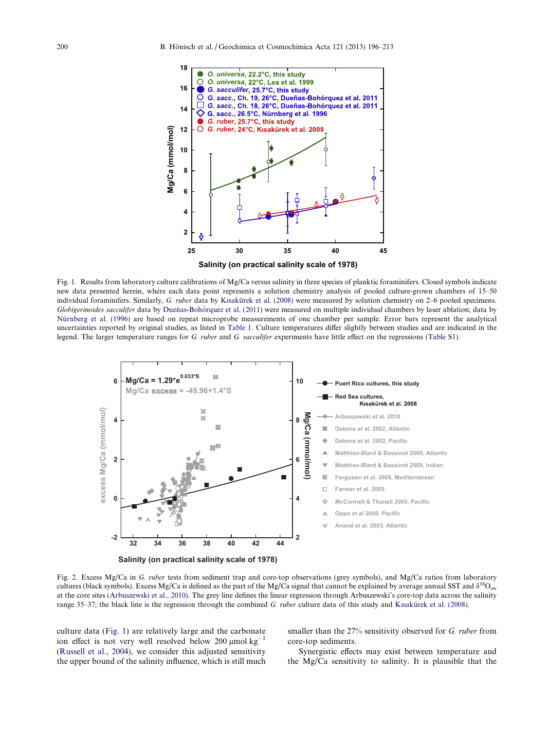

Fig. 1. Results from laboratory culture calibrations of  $Mg/Ca$  versus salinity in three species of planktic foraminifers. Closed symbols indicate new data presented herein, where each data point represents a solution chemistry analysis of pooled culture-grown chambers of 15–50 individual foraminifers. Similarly, G. ruber data by [K](#page-15-0)ısakürek et al. (2008) were measured by solution chemistry on 2–6 pooled specimens. Globigerinoides sacculifer data by Dueñas-Bohórquez et al. (2011) were measured on multiple individual chambers by laser ablation; data by Nürnberg et al. (1996) are based on repeat microprobe measurements of one chamber per sample. Error bars represent the analytical uncertainties reported by original studies, as listed in [Table 1](#page-2-0). Culture temperatures differ slightly between studies and are indicated in the legend. The larger temperature ranges for G. ruber and G. sacculifer experiments have little effect on the regressions [\(Table S1\)](#page-14-0).



Fig. 2. Excess Mg/Ca in G. ruber tests from sediment trap and core-top observations (grey symbols), and Mg/Ca ratios from laboratory cultures (black symbols). Excess Mg/Ca is defined as the part of the Mg/Ca signal that cannot be explained by average annual SST and  $\delta^{18}O_{sw}$ at the core sites [\(Arbuszewski et al., 2010\)](#page-15-0). The grey line defines the linear regression through Arbuszewski's core-top data across the salinity range 35–37; the black line is the regression through the combined G. ruber culture data of this study and Kısakürek et al. (2008).

<span id="page-4-0"></span>culture data ([Fig. 1](#page-4-0)) are relatively large and the carbonate ion effect is not very well resolved below 200  $\mu$ mol kg<sup>-1</sup> ([Russell et al., 2004\)](#page-16-0), we consider this adjusted sensitivity the upper bound of the salinity influence, which is still much

smaller than the 27% sensitivity observed for G. ruber from core-top sediments.

Synergistic effects may exist between temperature and the Mg/Ca sensitivity to salinity. It is plausible that the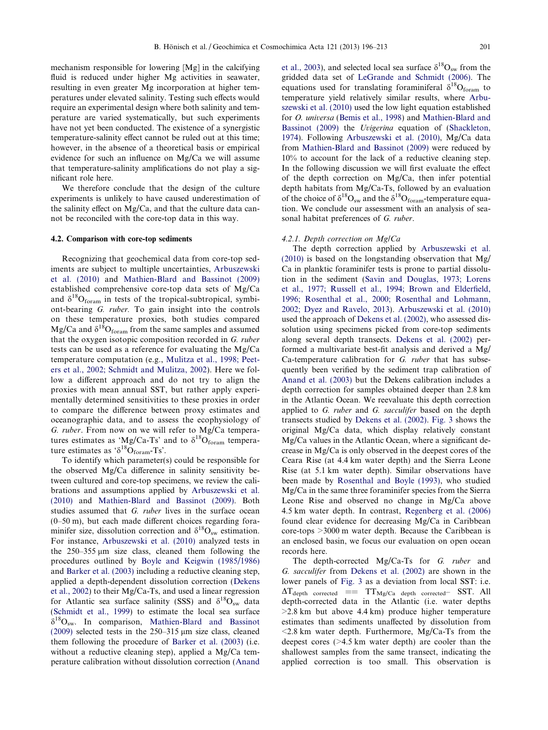mechanism responsible for lowering [Mg] in the calcifying fluid is reduced under higher Mg activities in seawater, resulting in even greater Mg incorporation at higher temperatures under elevated salinity. Testing such effects would require an experimental design where both salinity and temperature are varied systematically, but such experiments have not yet been conducted. The existence of a synergistic temperature-salinity effect cannot be ruled out at this time; however, in the absence of a theoretical basis or empirical evidence for such an influence on Mg/Ca we will assume that temperature-salinity amplifications do not play a significant role here.

We therefore conclude that the design of the culture experiments is unlikely to have caused underestimation of the salinity effect on Mg/Ca, and that the culture data cannot be reconciled with the core-top data in this way.

#### 4.2. Comparison with core-top sediments

Recognizing that geochemical data from core-top sediments are subject to multiple uncertainties, [Arbuszewski](#page-15-0) [et al. \(2010\)](#page-15-0) and [Mathien-Blard and Bassinot \(2009\)](#page-16-0) established comprehensive core-top data sets of Mg/Ca and  $\delta^{18}O_{\text{form}}$  in tests of the tropical-subtropical, symbiont-bearing G. ruber. To gain insight into the controls on these temperature proxies, both studies compared Mg/Ca and  $\delta^{18}O_{\text{form}}$  from the same samples and assumed that the oxygen isotopic composition recorded in G. ruber tests can be used as a reference for evaluating the Mg/Ca temperature computation (e.g., [Mulitza et al., 1998; Peet](#page-16-0)[ers et al., 2002; Schmidt and Mulitza, 2002\)](#page-16-0). Here we follow a different approach and do not try to align the proxies with mean annual SST, but rather apply experimentally determined sensitivities to these proxies in order to compare the difference between proxy estimates and oceanographic data, and to assess the ecophysiology of G. ruber. From now on we will refer to Mg/Ca temperatures estimates as 'Mg/Ca-Ts' and to  $\delta^{18}O_{\text{form}}$  temperature estimates as ' $\delta^{18}O_{\text{form}}$ -Ts'.

To identify which parameter(s) could be responsible for the observed Mg/Ca difference in salinity sensitivity between cultured and core-top specimens, we review the calibrations and assumptions applied by [Arbuszewski et al.](#page-15-0) [\(2010\)](#page-15-0) and [Mathien-Blard and Bassinot \(2009\)](#page-16-0). Both studies assumed that G. ruber lives in the surface ocean (0–50 m), but each made different choices regarding foraminifer size, dissolution correction and  $\delta^{18}O_{sw}$  estimation. For instance, [Arbuszewski et al. \(2010\)](#page-15-0) analyzed tests in the  $250-355 \mu m$  size class, cleaned them following the procedures outlined by [Boyle and Keigwin \(1985/1986\)](#page-15-0) and [Barker et al. \(2003\)](#page-15-0) including a reductive cleaning step, applied a depth-dependent dissolution correction ([Dekens](#page-15-0) [et al., 2002\)](#page-15-0) to their Mg/Ca-Ts, and used a linear regression for Atlantic sea surface salinity (SSS) and  $\delta^{18}O_{sw}$  data [\(Schmidt et al., 1999](#page-16-0)) to estimate the local sea surface  $\delta^{18}O_{\text{sw}}$ . In comparison, [Mathien-Blard and Bassinot](#page-16-0) [\(2009\)](#page-16-0) selected tests in the  $250-315 \,\mu m$  size class, cleaned them following the procedure of [Barker et al. \(2003\)](#page-15-0) (i.e. without a reductive cleaning step), applied a Mg/Ca temperature calibration without dissolution correction [\(Anand](#page-15-0) [et al., 2003](#page-15-0)), and selected local sea surface  $\delta^{18}O_{sw}$  from the gridded data set of [LeGrande and Schmidt \(2006\).](#page-15-0) The equations used for translating foraminiferal  $\delta^{18}O_{\text{form}}$  to temperature yield relatively similar results, where [Arbu](#page-15-0)[szewski et al. \(2010\)](#page-15-0) used the low light equation established for O. universa ([Bemis et al., 1998\)](#page-15-0) and [Mathien-Blard and](#page-16-0) [Bassinot \(2009\)](#page-16-0) the Uvigerina equation of ([Shackleton,](#page-16-0) [1974](#page-16-0)). Following [Arbuszewski et al. \(2010\)](#page-15-0), Mg/Ca data from [Mathien-Blard and Bassinot \(2009\)](#page-16-0) were reduced by 10% to account for the lack of a reductive cleaning step. In the following discussion we will first evaluate the effect of the depth correction on Mg/Ca, then infer potential depth habitats from Mg/Ca-Ts, followed by an evaluation of the choice of  $\delta^{18}O_{sw}$  and the  $\delta^{18}O_{form}$ -temperature equation. We conclude our assessment with an analysis of seasonal habitat preferences of G. ruber.

#### 4.2.1. Depth correction on Mg/Ca

The depth correction applied by [Arbuszewski et al.](#page-15-0) [\(2010\)](#page-15-0) is based on the longstanding observation that Mg/ Ca in planktic foraminifer tests is prone to partial dissolution in the sediment [\(Savin and Douglas, 1973; Lorens](#page-16-0) [et al., 1977; Russell et al., 1994; Brown and Elderfield,](#page-16-0) [1996; Rosenthal et al., 2000; Rosenthal and Lohmann,](#page-16-0) [2002; Dyez and Ravelo, 2013\)](#page-16-0). [Arbuszewski et al. \(2010\)](#page-15-0) used the approach of [Dekens et al. \(2002\)](#page-15-0), who assessed dissolution using specimens picked from core-top sediments along several depth transects. [Dekens et al. \(2002\)](#page-15-0) performed a multivariate best-fit analysis and derived a Mg/ Ca-temperature calibration for G. ruber that has subsequently been verified by the sediment trap calibration of [Anand et al. \(2003\)](#page-15-0) but the Dekens calibration includes a depth correction for samples obtained deeper than 2.8 km in the Atlantic Ocean. We reevaluate this depth correction applied to G. ruber and G. sacculifer based on the depth transects studied by [Dekens et al. \(2002\).](#page-15-0) [Fig. 3](#page-6-0) shows the original Mg/Ca data, which display relatively constant Mg/Ca values in the Atlantic Ocean, where a significant decrease in Mg/Ca is only observed in the deepest cores of the Ceara Rise (at 4.4 km water depth) and the Sierra Leone Rise (at 5.1 km water depth). Similar observations have been made by [Rosenthal and Boyle \(1993\),](#page-16-0) who studied Mg/Ca in the same three foraminifer species from the Sierra Leone Rise and observed no change in Mg/Ca above 4.5 km water depth. In contrast, [Regenberg et al. \(2006\)](#page-16-0) found clear evidence for decreasing Mg/Ca in Caribbean core-tops >3000 m water depth. Because the Caribbean is an enclosed basin, we focus our evaluation on open ocean records here.

The depth-corrected Mg/Ca-Ts for G. ruber and G. sacculifer from [Dekens et al. \(2002\)](#page-15-0) are shown in the lower panels of [Fig. 3](#page-6-0) as a deviation from local SST: i.e.  $\Delta T_{depth}$  corrected ==  $TT_{Mg/Ca}$  depth corrected<sup>-</sup> SST. All depth-corrected data in the Atlantic (i.e. water depths >2.8 km but above 4.4 km) produce higher temperature estimates than sediments unaffected by dissolution from  $\leq$ 2.8 km water depth. Furthermore, Mg/Ca-Ts from the deepest cores (>4.5 km water depth) are cooler than the shallowest samples from the same transect, indicating the applied correction is too small. This observation is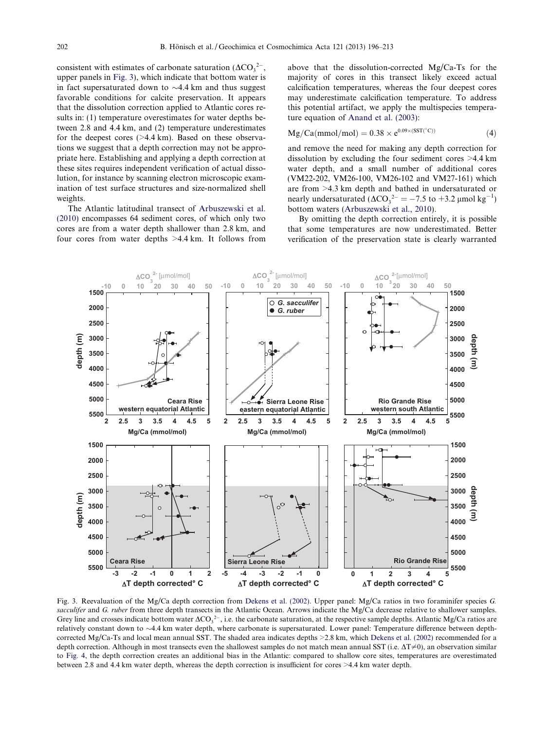consistent with estimates of carbonate saturation  $(\Delta CO_3^2)$ , upper panels in [Fig. 3](#page-6-0)), which indicate that bottom water is in fact supersaturated down to  $\sim$ 4.4 km and thus suggest favorable conditions for calcite preservation. It appears that the dissolution correction applied to Atlantic cores results in: (1) temperature overestimates for water depths between 2.8 and 4.4 km, and (2) temperature underestimates for the deepest cores ( $>4.4$  km). Based on these observations we suggest that a depth correction may not be appropriate here. Establishing and applying a depth correction at these sites requires independent verification of actual dissolution, for instance by scanning electron microscopic examination of test surface structures and size-normalized shell weights.

The Atlantic latitudinal transect of [Arbuszewski et al.](#page-15-0) [\(2010\)](#page-15-0) encompasses 64 sediment cores, of which only two cores are from a water depth shallower than 2.8 km, and four cores from water depths >4.4 km. It follows from

above that the dissolution-corrected Mg/Ca-Ts for the majority of cores in this transect likely exceed actual calcification temperatures, whereas the four deepest cores may underestimate calcification temperature. To address this potential artifact, we apply the multispecies temperature equation of [Anand et al. \(2003\)](#page-15-0):

$$
Mg/Ca(mmol/mol) = 0.38 \times e^{0.09 \times (SST(^{\circ}C))}
$$
 (4)

and remove the need for making any depth correction for dissolution by excluding the four sediment cores >4.4 km water depth, and a small number of additional cores (VM22-202, VM26-100, VM26-102 and VM27-161) which are from >4.3 km depth and bathed in undersaturated or nearly undersaturated  $(\Delta CO_3^{2-} = -7.5 \text{ to } +3.2 \text{ }\mu\text{mol kg}^{-1})$ bottom waters ([Arbuszewski et al., 2010](#page-15-0)).

By omitting the depth correction entirely, it is possible that some temperatures are now underestimated. Better verification of the preservation state is clearly warranted



<span id="page-6-0"></span>Fig. 3. Reevaluation of the Mg/Ca depth correction from [Dekens et al. \(2002\)](#page-15-0). Upper panel: Mg/Ca ratios in two foraminifer species G. sacculifer and G. ruber from three depth transects in the Atlantic Ocean. Arrows indicate the Mg/Ca decrease relative to shallower samples. Grey line and crosses indicate bottom water  $\Delta CO_3^{2-}$ , i.e. the carbonate saturation, at the respective sample depths. Atlantic Mg/Ca ratios are relatively constant down to  $\sim$ 4.4 km water depth, where carbonate is supersaturated. Lower panel: Temperature difference between depthcorrected Mg/Ca-Ts and local mean annual SST. The shaded area indicates depths >2.8 km, which [Dekens et al. \(2002\)](#page-15-0) recommended for a depth correction. Although in most transects even the shallowest samples do not match mean annual SST (i.e.  $\Delta T \neq 0$ ), an observation similar to [Fig. 4,](#page-8-0) the depth correction creates an additional bias in the Atlantic: compared to shallow core sites, temperatures are overestimated between 2.8 and 4.4 km water depth, whereas the depth correction is insufficient for cores >4.4 km water depth.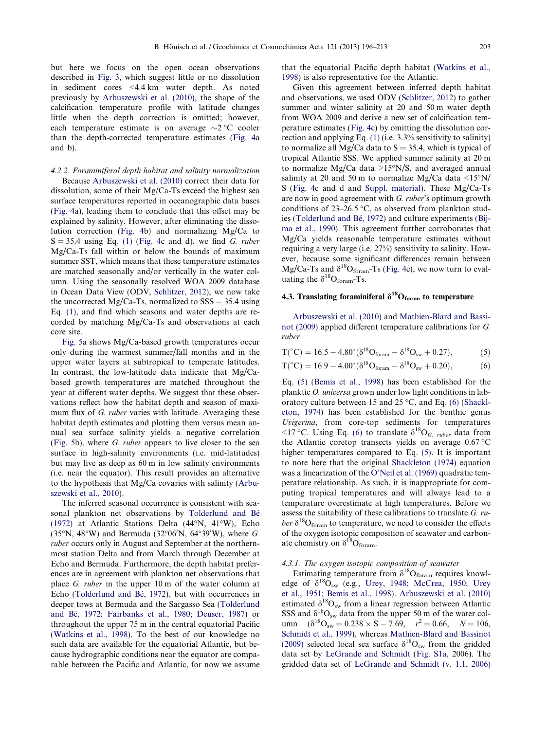but here we focus on the open ocean observations described in [Fig. 3,](#page-6-0) which suggest little or no dissolution in sediment cores <4.4 km water depth. As noted previously by [Arbuszewski et al. \(2010\),](#page-15-0) the shape of the calcification temperature profile with latitude changes little when the depth correction is omitted; however, each temperature estimate is on average  $\sim$ 2 °C cooler than the depth-corrected temperature estimates [\(Fig. 4a](#page-8-0) and b).

4.2.2. Foraminiferal depth habitat and salinity normalization Because [Arbuszewski et al. \(2010\)](#page-15-0) correct their data for dissolution, some of their Mg/Ca-Ts exceed the highest sea surface temperatures reported in oceanographic data bases [\(Fig. 4](#page-8-0)a), leading them to conclude that this offset may be explained by salinity. However, after eliminating the dissolution correction [\(Fig. 4](#page-8-0)b) and normalizing Mg/Ca to  $S = 35.4$  using Eq. [\(1\)](#page-3-0) [\(Fig. 4](#page-8-0)c and d), we find G. ruber Mg/Ca-Ts fall within or below the bounds of maximum summer SST, which means that these temperature estimates are matched seasonally and/or vertically in the water column. Using the seasonally resolved WOA 2009 database in Ocean Data View (ODV, [Schlitzer, 2012](#page-16-0)), we now take the uncorrected Mg/Ca-Ts, normalized to  $SSS = 35.4$  using Eq. [\(1\),](#page-3-0) and find which seasons and water depths are recorded by matching Mg/Ca-Ts and observations at each core site.

[Fig. 5a](#page-9-0) shows Mg/Ca-based growth temperatures occur only during the warmest summer/fall months and in the upper water layers at subtropical to temperate latitudes. In contrast, the low-latitude data indicate that Mg/Cabased growth temperatures are matched throughout the year at different water depths. We suggest that these observations reflect how the habitat depth and season of maximum flux of G. ruber varies with latitude. Averaging these habitat depth estimates and plotting them versus mean annual sea surface salinity yields a negative correlation [\(Fig. 5b](#page-9-0)), where G. ruber appears to live closer to the sea surface in high-salinity environments (i.e. mid-latitudes) but may live as deep as 60 m in low salinity environments (i.e. near the equator). This result provides an alternative to the hypothesis that Mg/Ca covaries with salinity [\(Arbu](#page-15-0)[szewski et al., 2010](#page-15-0)).

<span id="page-7-0"></span>The inferred seasonal occurrence is consistent with seasonal plankton net observations by Tolderlund and Bé [\(1972\)](#page-16-0) at Atlantic Stations Delta (44"N, 41"W), Echo  $(35°N, 48°W)$  and Bermuda  $(32°06'N, 64°39'W)$ , where G. ruber occurs only in August and September at the northernmost station Delta and from March through December at Echo and Bermuda. Furthermore, the depth habitat preferences are in agreement with plankton net observations that place G. ruber in the upper 10 m of the water column at Echo (Tolderlund and Bé, 1972), but with occurrences in deeper tows at Bermuda and the Sargasso Sea [\(Tolderlund](#page-16-0) and Bé, 1972; Fairbanks et al., 1980; Deuser, 1987) or throughout the upper 75 m in the central equatorial Pacific [\(Watkins et al., 1998\)](#page-16-0). To the best of our knowledge no such data are available for the equatorial Atlantic, but because hydrographic conditions near the equator are comparable between the Pacific and Atlantic, for now we assume that the equatorial Pacific depth habitat [\(Watkins et al.,](#page-16-0) [1998](#page-16-0)) is also representative for the Atlantic.

Given this agreement between inferred depth habitat and observations, we used ODV ([Schlitzer, 2012\)](#page-16-0) to gather summer and winter salinity at 20 and 50 m water depth from WOA 2009 and derive a new set of calcification temperature estimates [\(Fig. 4](#page-8-0)c) by omitting the dissolution correction and applying Eq. [\(1\)](#page-3-0) (i.e. 3.3% sensitivity to salinity) to normalize all Mg/Ca data to  $S = 35.4$ , which is typical of tropical Atlantic SSS. We applied summer salinity at 20 m to normalize Mg/Ca data  $>15^{\circ}$ N/S, and averaged annual salinity at 20 and 50 m to normalize Mg/Ca data  $\langle 15^{\circ} N \rangle$ S ([Fig. 4](#page-8-0)c and d and [Suppl. material](#page-14-0)). These Mg/Ca-Ts are now in good agreement with G. ruber's optimum growth conditions of  $23-26.5$  °C, as observed from plankton stud-ies (Tolderlund and Bé, 1972) and culture experiments ([Bij](#page-15-0)[ma et al., 1990\)](#page-15-0). This agreement further corroborates that Mg/Ca yields reasonable temperature estimates without requiring a very large (i.e. 27%) sensitivity to salinity. However, because some significant differences remain between Mg/Ca-Ts and  $\delta^{18}O_{\text{form}}$ -Ts [\(Fig. 4c](#page-8-0)), we now turn to evaluating the  $\delta^{18}O_{\text{form}}$ -Ts.

## 4.3. Translating foraminiferal  $\delta^{18}O_{\text{form}}$  to temperature

[Arbuszewski et al. \(2010\)](#page-15-0) and [Mathien-Blard and Bassi](#page-16-0)[not \(2009\)](#page-16-0) applied different temperature calibrations for G. ruber

$$
T(^{\circ}C) = 16.5 - 4.80^{\ast} (\delta^{18}O_{\text{form}} - \delta^{18}O_{\text{sw}} + 0.27), \tag{5}
$$

$$
T(^{\circ}C) = 16.9 - 4.00^{\circ} (\delta^{18}O_{\text{foram}} - \delta^{18}O_{\text{sw}} + 0.20), \tag{6}
$$

Eq. [\(5\)](#page-7-0) ([Bemis et al., 1998\)](#page-15-0) has been established for the planktic O. universa grown under low light conditions in laboratory culture between 15 and 25  $^{\circ}$ C, and Eq. (6) ([Shackl](#page-16-0)[eton, 1974\)](#page-16-0) has been established for the benthic genus Uvigerina, from core-top sediments for temperatures  $\langle 17 \,^{\circ}\text{C}$ . Using Eq. (6) to translate  $\delta^{18}\text{O}_G$  ruber data from the Atlantic coretop transects yields on average  $0.67 \degree$ C higher temperatures compared to Eq. [\(5\).](#page-7-0) It is important to note here that the original [Shackleton \(1974\)](#page-16-0) equation was a linearization of the [O'Neil et al. \(1969\)](#page-16-0) quadratic temperature relationship. As such, it is inappropriate for computing tropical temperatures and will always lead to a temperature overestimate at high temperatures. Before we assess the suitability of these calibrations to translate G. ruber  $\delta^{18}O_{\text{form}}$  to temperature, we need to consider the effects of the oxygen isotopic composition of seawater and carbonate chemistry on  $\delta^{18}O_{\text{form}}$ .

## 4.3.1. The oxygen isotopic composition of seawater

Estimating temperature from  $\delta^{18}O_{\text{form}}$  requires knowledge of  $\delta^{18}O_{sw}$  (e.g., [Urey, 1948; McCrea, 1950; Urey](#page-16-0) [et al., 1951; Bemis et al., 1998](#page-16-0)). [Arbuszewski et al. \(2010\)](#page-15-0) estimated  $\delta^{18}O_{sw}$  from a linear regression between Atlantic SSS and  $\delta^{18}O_{sw}$  data from the upper 50 m of the water column  $(\delta^{18}O_{sw} = 0.238 \times S - 7.69, r^2 = 0.66, N = 106,$ [Schmidt et al., 1999\)](#page-16-0), whereas [Mathien-Blard and Bassinot](#page-16-0) [\(2009\)](#page-16-0) selected local sea surface  $\delta^{18}O_{\rm sw}$  from the gridded data set by [LeGrande and Schmidt](#page-15-0) ([Fig. S1a,](#page-14-0) 2006). The gridded data set of [LeGrande and Schmidt \(v. 1.1, 2006\)](#page-15-0)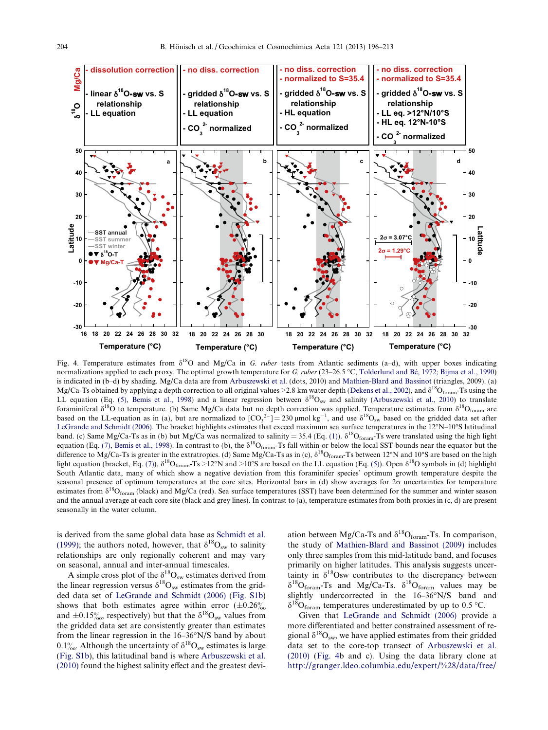

Fig. 4. Temperature estimates from  $\delta^{18}O$  and Mg/Ca in G. *ruber* tests from Atlantic sediments (a–d), with upper boxes indicating normalizations applied to each proxy. The optimal growth temperature for G. ruber (23–26.5 °C, Tolderlund and Bé, 1972; Bijma et al., 1990) is indicated in (b–d) by shading. Mg/Ca data are from [Arbuszewski et al.](#page-15-0) (dots, 2010) and [Mathien-Blard and Bassinot](#page-16-0) (triangles, 2009). (a) Mg/Ca-Ts obtained by applying a depth correction to all original values >2.8 km water depth ([Dekens et al., 2002\)](#page-15-0), and  $\delta^{18}O_{\text{form}}$ -Ts using the LL equation (Eq. [\(5\),](#page-7-0) [Bemis et al., 1998](#page-15-0)) and a linear regression between  $\delta^{18}O_{sw}$  and salinity ([Arbuszewski et al., 2010](#page-15-0)) to translate foraminiferal  $\delta^{18}$ O to temperature. (b) Same Mg/Ca data but no depth correction was applied. Temperature estimates from  $\delta^{18}$ O<sub>foram</sub> are based on the LL-equation as in (a), but are normalized to  $[CO_3^2] = 230 \mu$ mol kg<sup>-1</sup>, and use  $\delta^{18}O_{sw}$  based on the gridded data set after [LeGrande and Schmidt \(2006\)](#page-15-0). The bracket highlights estimates that exceed maximum sea surface temperatures in the 12"N–10"S latitudinal band. (c) Same Mg/Ca-Ts as in (b) but Mg/Ca was normalized to salinity = 35.4 (Eq. [\(1\)](#page-3-0)).  $\delta^{18}O_{\text{form}}$ -Ts were translated using the high light equation (Eq. [\(7\)](#page-10-0), [Bemis et al., 1998](#page-15-0)). In contrast to (b), the  $\delta^{18}O_{\text{form}}$ -Ts fall within or below the local SST bounds near the equator but the difference to Mg/Ca-Ts is greater in the extratropics. (d) Same Mg/Ca-Ts as in (c),  $\delta^{18}O_{\text{form}}$ -Ts between 12°N and 10°S are based on the high light equation (bracket, Eq. [\(7\)\)](#page-10-0),  $\delta^{18}O_{\text{form}}$ -Ts >12°N and >10°S are based on the LL equation (Eq. [\(5\)\)](#page-7-0). Open  $\delta^{18}O$  symbols in (d) highlight South Atlantic data, many of which show a negative deviation from this foraminifer species' optimum growth temperature despite the seasonal presence of optimum temperatures at the core sites. Horizontal bars in (d) show averages for  $2\sigma$  uncertainties for temperature estimates from  $\delta^{18}O_{\text{form}}$  (black) and Mg/Ca (red). Sea surface temperatures (SST) have been determined for the summer and winter season and the annual average at each core site (black and grey lines). In contrast to (a), temperature estimates from both proxies in (c, d) are present seasonally in the water column.

is derived from the same global data base as [Schmidt et al.](#page-16-0) [\(1999\);](#page-16-0) the authors noted, however, that  $\delta^{18}O_{sw}$  to salinity relationships are only regionally coherent and may vary on seasonal, annual and inter-annual timescales.

<span id="page-8-0"></span>A simple cross plot of the  $\delta^{18}O_{sw}$  estimates derived from the linear regression versus  $\delta^{18}O_{sw}$  estimates from the gridded data set of [LeGrande and Schmidt \(2006\)](#page-15-0) ([Fig. S1b\)](#page-14-0) shows that both estimates agree within error  $(\pm 0.26\%)$ and  $\pm 0.15\%$ , respectively) but that the  $\delta^{18}O_{sw}$  values from the gridded data set are consistently greater than estimates from the linear regression in the 16–36"N/S band by about 0.1%. Although the uncertainty of  $\delta^{18}O_{sw}$  estimates is large ([Fig. S1b](#page-14-0)), this latitudinal band is where [Arbuszewski et al.](#page-15-0) [\(2010\)](#page-15-0) found the highest salinity effect and the greatest deviation between Mg/Ca-Ts and  $\delta^{18}O_{\text{form}}$ -Ts. In comparison, the study of [Mathien-Blard and Bassinot \(2009\)](#page-16-0) includes only three samples from this mid-latitude band, and focuses primarily on higher latitudes. This analysis suggests uncertainty in  $\delta^{18}$ Osw contributes to the discrepancy between  $\delta^{18}O_{\text{form}}$ -Ts and Mg/Ca-Ts.  $\delta^{18}O_{\text{form}}$  values may be slightly undercorrected in the 16–36"N/S band and  $\delta^{18}O_{\text{foram}}$  temperatures underestimated by up to 0.5 °C.

Given that [LeGrande and Schmidt \(2006\)](#page-15-0) provide a more differentiated and better constrained assessment of regional  $\delta^{18}O_{\rm sw}$ , we have applied estimates from their gridded data set to the core-top transect of [Arbuszewski et al.](#page-15-0) [\(2010\)](#page-15-0) [\(Fig. 4b](#page-8-0) and c). Using the data library clone at [http://granger.ldeo.columbia.edu/expert/%28/data/free/](http://granger.ldeo.columbia.edu/expert/%28/data/free/alexeyk/LeGrandeSchmidt2006/calculated_d18O.nc%29readfile/.d18o/)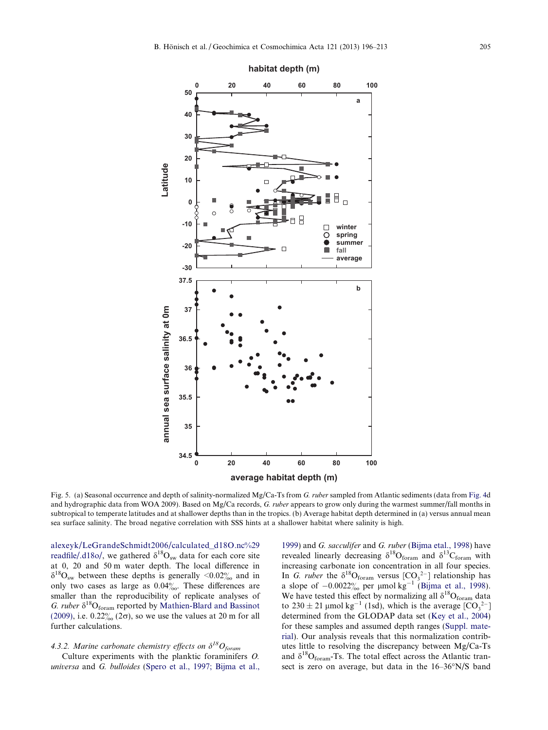

Fig. 5. (a) Seasonal occurrence and depth of salinity-normalized Mg/Ca-Ts from G. ruber sampled from Atlantic sediments (data from [Fig. 4](#page-8-0)d) and hydrographic data from WOA 2009). Based on Mg/Ca records, G. ruber appears to grow only during the warmest summer/fall months in subtropical to temperate latitudes and at shallower depths than in the tropics. (b) Average habitat depth determined in (a) versus annual mean sea surface salinity. The broad negative correlation with SSS hints at a shallower habitat where salinity is high.

[alexeyk/LeGrandeSchmidt2006/calculated\\_d18O.nc%29](http://granger.ldeo.columbia.edu/expert/%28/data/free/alexeyk/LeGrandeSchmidt2006/calculated_d18O.nc%29readfile/.d18o/) [readfile/.d18o/](http://granger.ldeo.columbia.edu/expert/%28/data/free/alexeyk/LeGrandeSchmidt2006/calculated_d18O.nc%29readfile/.d18o/), we gathered  $\delta^{18}O_{sw}$  data for each core site at 0, 20 and 50 m water depth. The local difference in  $\delta^{18}O_{\rm sw}$  between these depths is generally <0.02% and in only two cases as large as  $0.04\%$ . These differences are smaller than the reproducibility of replicate analyses of G. ruber  $\delta^{18}O_{\text{form}}$  reported by [Mathien-Blard and Bassinot](#page-16-0) [\(2009\)](#page-16-0), i.e.  $0.22\%$  ( $2\sigma$ ), so we use the values at 20 m for all further calculations.

## 4.3.2. Marine carbonate chemistry effects on  $\delta^{18}O_{\text{foram}}$

<span id="page-9-0"></span>Culture experiments with the planktic foraminifers O. universa and G. bulloides ([Spero et al., 1997; Bijma et al.,](#page-16-0)

[1999](#page-16-0)) and G. sacculifer and G. ruber ([Bijma etal., 1998\)](#page-15-0) have revealed linearly decreasing  $\delta^{18}O_{\text{form}}$  and  $\delta^{13}C_{\text{form}}$  with increasing carbonate ion concentration in all four species. In G. ruber the  $\delta^{18}O_{\text{form}}$  versus  $[CO_3^{2-}]$  relationship has a slope of  $-0.0022%$  per µmol kg<sup>-1</sup> [\(Bijma et al., 1998](#page-15-0)). We have tested this effect by normalizing all  $\delta^{18}O_{\text{form}}$  data to  $230 \pm 21$  µmol kg<sup>-1</sup> (1sd), which is the average  $[CO_3^{2-}]$ determined from the GLODAP data set ([Key et al., 2004](#page-15-0)) for these samples and assumed depth ranges [\(Suppl. mate](#page-14-0)[rial](#page-14-0)). Our analysis reveals that this normalization contributes little to resolving the discrepancy between Mg/Ca-Ts and  $\delta^{18}O_{\text{form}}$ -Ts. The total effect across the Atlantic transect is zero on average, but data in the 16–36"N/S band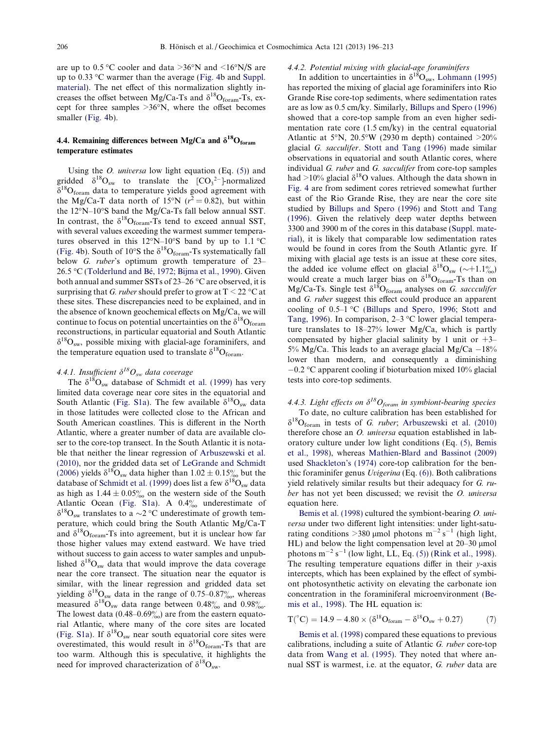are up to  $0.5 \degree$ C cooler and data >36°N and <16°N/S are up to 0.33 "C warmer than the average [\(Fig. 4b](#page-8-0) and [Suppl.](#page-14-0) [material](#page-14-0)). The net effect of this normalization slightly increases the offset between Mg/Ca-Ts and  $\delta^{18}O_{\text{form}}$ -Ts, except for three samples  $>36^{\circ}$ N, where the offset becomes smaller [\(Fig. 4](#page-8-0)b).

## 4.4. Remaining differences between Mg/Ca and  $\delta^{18}O_{\text{form}}$ temperature estimates

Using the *O. universa* low light equation (Eq.  $(5)$ ) and gridded  $\delta^{18}O_{sw}$  to translate the  $[CO_3^2$ --]-normalized  $\delta^{18}O_{\text{form}}$  data to temperature yields good agreement with the Mg/Ca-T data north of 15°N ( $r^2 = 0.82$ ), but within the 12"N–10"S band the Mg/Ca-Ts fall below annual SST. In contrast, the  $\delta^{18}O_{\text{form}}$ -Ts tend to exceed annual SST, with several values exceeding the warmest summer temperatures observed in this  $12^{\circ}N-10^{\circ}S$  band by up to 1.1  $^{\circ}C$ ([Fig. 4](#page-8-0)b). South of 10°S the  $\delta^{18}O_{\text{form}}$ -Ts systematically fall below *G. ruber's* optimum growth temperature of 23–  $26.5 \text{ °C}$  (Tolderlund and Bé, 1972; Bijma et al., 1990). Given both annual and summer SSTs of 23–26 "C are observed, it is surprising that G. ruber should prefer to grow at  $T \leq 22$  °C at these sites. These discrepancies need to be explained, and in the absence of known geochemical effects on Mg/Ca, we will continue to focus on potential uncertainties on the  $\delta^{18}O_{\text{form}}$ reconstructions, in particular equatorial and South Atlantic  $\delta^{18}O_{\rm sw}$ , possible mixing with glacial-age foraminifers, and the temperature equation used to translate  $\delta^{18}O_{\text{form}}$ .

# 4.4.1. Insufficient  $\delta^{18}O_{sw}$  data coverage

The  $\delta^{18}O_{sw}$  database of [Schmidt et al. \(1999\)](#page-16-0) has very limited data coverage near core sites in the equatorial and South Atlantic [\(Fig. S1a](#page-14-0)). The few available  $\delta^{18}O_{sw}$  data in those latitudes were collected close to the African and South American coastlines. This is different in the North Atlantic, where a greater number of data are available closer to the core-top transect. In the South Atlantic it is notable that neither the linear regression of [Arbuszewski et al.](#page-15-0) [\(2010\),](#page-15-0) nor the gridded data set of [LeGrande and Schmidt](#page-15-0) [\(2006\)](#page-15-0) yields  $\delta^{18}O_{sw}$  data higher than  $1.02 \pm 0.15\%$  but the database of [Schmidt et al. \(1999\)](#page-16-0) does list a few  $\delta^{18}O_{sw}$  data as high as  $1.44 \pm 0.05\%$  on the western side of the South Atlantic Ocean ([Fig. S1a\)](#page-14-0). A  $0.4\%$  underestimate of  $\delta^{18}O_{\rm sw}$  translates to a  $\sim$ 2 °C underestimate of growth temperature, which could bring the South Atlantic Mg/Ca-T and  $\delta^{18}O_{\text{form}}$ -Ts into agreement, but it is unclear how far those higher values may extend eastward. We have tried without success to gain access to water samples and unpublished  $\delta^{18}O_{sw}$  data that would improve the data coverage near the core transect. The situation near the equator is similar, with the linear regression and gridded data set yielding  $\delta^{18}O_{sw}$  data in the range of 0.75–0.87%, whereas measured  $\delta^{18}O_{sw}$  data range between 0.48 $\%$  and 0.98 $\%$ . The lowest data  $(0.48-0.69\%)$  are from the eastern equatorial Atlantic, where many of the core sites are located ([Fig. S1a](#page-14-0)). If  $\delta^{18}O_{sw}$  near south equatorial core sites were overestimated, this would result in  $\delta^{18}O_{\text{foram}}$ -Ts that are too warm. Although this is speculative, it highlights the need for improved characterization of  $\delta^{18}O_{sw}$ .

#### 4.4.2. Potential mixing with glacial-age foraminifers

In addition to uncertainties in  $\delta^{18}O_{\rm sw}$ , [Lohmann \(1995\)](#page-15-0) has reported the mixing of glacial age foraminifers into Rio Grande Rise core-top sediments, where sedimentation rates are as low as 0.5 cm/ky. Similarly, [Billups and Spero \(1996\)](#page-15-0) showed that a core-top sample from an even higher sedimentation rate core (1.5 cm/ky) in the central equatorial Atlantic at 5°N, 20.5°W (2930 m depth) contained  $>20\%$ glacial G. sacculifer. [Stott and Tang \(1996\)](#page-16-0) made similar observations in equatorial and south Atlantic cores, where individual G. ruber and G. sacculifer from core-top samples had >10% glacial  $\delta^{18}$ O values. Although the data shown in [Fig. 4](#page-8-0) are from sediment cores retrieved somewhat further east of the Rio Grande Rise, they are near the core site studied by [Billups and Spero \(1996\)](#page-15-0) and [Stott and Tang](#page-16-0) [\(1996\).](#page-16-0) Given the relatively deep water depths between 3300 and 3900 m of the cores in this database [\(Suppl. mate](#page-14-0)[rial\)](#page-14-0), it is likely that comparable low sedimentation rates would be found in cores from the South Atlantic gyre. If mixing with glacial age tests is an issue at these core sites, the added ice volume effect on glacial  $\delta^{18}O_{sw}$  ( $\sim$ +1.1 $\%$ ) would create a much larger bias on  $\delta^{18}O_{\text{form}}$ -Ts than on Mg/Ca-Ts. Single test  $\delta^{18}O_{\text{form}}$  analyses on G. saccculifer and G. ruber suggest this effect could produce an apparent cooling of  $0.5-1$  °C [\(Billups and Spero, 1996; Stott and](#page-15-0) [Tang, 1996\)](#page-15-0). In comparison,  $2-3$  °C lower glacial temperature translates to 18–27% lower Mg/Ca, which is partly compensated by higher glacial salinity by 1 unit or  $+3$ – 5% Mg/Ca. This leads to an average glacial Mg/Ca  $-18\%$ lower than modern, and consequently a diminishing  $-0.2$  °C apparent cooling if bioturbation mixed 10% glacial tests into core-top sediments.

## 4.4.3. Light effects on  $\delta^{18}O_{foram}$  in symbiont-bearing species

To date, no culture calibration has been established for  $\delta^{18}O_{\text{foram}}$  in tests of G. ruber; [Arbuszewski et al. \(2010\)](#page-15-0) therefore chose an O. universa equation established in laboratory culture under low light conditions (Eq. [\(5\)](#page-7-0), [Bemis](#page-15-0) [et al., 1998](#page-15-0)), whereas [Mathien-Blard and Bassinot \(2009\)](#page-16-0) used [Shackleton's \(1974\)](#page-16-0) core-top calibration for the benthic foraminifer genus  $Uvigenina$  (Eq. (6)). Both calibrations yield relatively similar results but their adequacy for G. ruber has not yet been discussed; we revisit the O. universa equation here.

[Bemis et al. \(1998\)](#page-15-0) cultured the symbiont-bearing O. universa under two different light intensities: under light-saturating conditions  $>380 \mu$ mol photons m<sup>-2</sup> s<sup>-1</sup> (high light, HL) and below the light compensation level at  $20-30$  µmol photons  $m^{-2} s^{-1}$  (low light, LL, Eq. [\(5\)](#page-7-0)) ([Rink et al., 1998\)](#page-16-0). The resulting temperature equations differ in their y-axis intercepts, which has been explained by the effect of symbiont photosynthetic activity on elevating the carbonate ion concentration in the foraminiferal microenvironment [\(Be](#page-15-0)[mis et al., 1998\)](#page-15-0). The HL equation is:

 $T(^{\circ}C) = 14.9 - 4.80 \times (\delta^{18}O_{\text{form}} - \delta^{18}O_{\text{sw}} + 0.27)$  (7)

<span id="page-10-0"></span>[Bemis et al. \(1998\)](#page-15-0) compared these equations to previous calibrations, including a suite of Atlantic G. ruber core-top data from [Wang et al. \(1995\).](#page-16-0) They noted that where annual SST is warmest, i.e. at the equator, G. ruber data are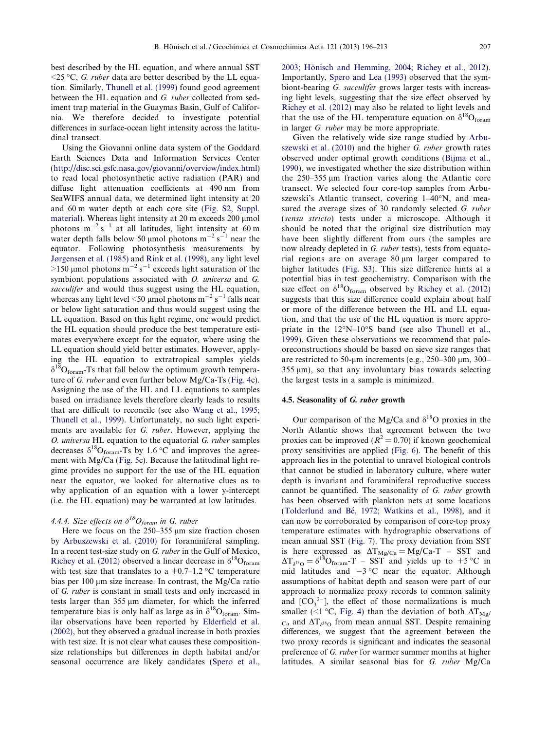best described by the HL equation, and where annual SST  $\leq$ 25 °C, G. ruber data are better described by the LL equation. Similarly, [Thunell et al. \(1999\)](#page-16-0) found good agreement between the HL equation and G. ruber collected from sediment trap material in the Guaymas Basin, Gulf of California. We therefore decided to investigate potential differences in surface-ocean light intensity across the latitudinal transect.

Using the Giovanni online data system of the Goddard Earth Sciences Data and Information Services Center [\(http://disc.sci.gsfc.nasa.gov/giovanni/overview/index.html\)](http://disc.sci.gsfc.nasa.gov/giovanni/overview/index.html) to read local photosynthetic active radiation (PAR) and diffuse light attenuation coefficients at 490 nm from SeaWIFS annual data, we determined light intensity at 20 and 60 m water depth at each core site [\(Fig. S2, Suppl.](#page-14-0) [material\)](#page-14-0). Whereas light intensity at 20 m exceeds 200 µmol photons  $m^{-2} s^{-1}$  at all latitudes, light intensity at 60 m water depth falls below 50 µmol photons  $m^{-2} s^{-1}$  near the equator. Following photosynthesis measurements by [Jørgensen et al. \(1985\)](#page-15-0) and [Rink et al. \(1998\),](#page-16-0) any light level  $>$ 150 µmol photons m<sup>-2</sup> s<sup>-1</sup> exceeds light saturation of the symbiont populations associated with O. universa and G. sacculifer and would thus suggest using the HL equation, whereas any light level  $\leq$ 50 µmol photons m $^{-2}$  s $^{-1}$  falls near or below light saturation and thus would suggest using the LL equation. Based on this light regime, one would predict the HL equation should produce the best temperature estimates everywhere except for the equator, where using the LL equation should yield better estimates. However, applying the HL equation to extratropical samples yields  $\delta^{18}O_{\text{foram}}$ -Ts that fall below the optimum growth temperature of G. ruber and even further below Mg/Ca-Ts [\(Fig. 4](#page-8-0)c). Assigning the use of the HL and LL equations to samples based on irradiance levels therefore clearly leads to results that are difficult to reconcile (see also [Wang et al., 1995;](#page-16-0) [Thunell et al., 1999\)](#page-16-0). Unfortunately, no such light experiments are available for G. ruber. However, applying the O. universa HL equation to the equatorial G. ruber samples decreases  $\delta^{18}O_{\text{form}}$ -Ts by 1.6 °C and improves the agreement with Mg/Ca [\(Fig. 5](#page-9-0)c). Because the latitudinal light regime provides no support for the use of the HL equation near the equator, we looked for alternative clues as to why application of an equation with a lower y-intercept (i.e. the HL equation) may be warranted at low latitudes.

## 4.4.4. Size effects on  $\delta^{18}O_{foram}$  in G. ruber

Here we focus on the  $250-355 \mu m$  size fraction chosen by [Arbuszewski et al. \(2010\)](#page-15-0) for foraminiferal sampling. In a recent test-size study on G. ruber in the Gulf of Mexico, [Richey et al. \(2012\)](#page-16-0) observed a linear decrease in  $\delta^{18}O_{\text{form}}$ with test size that translates to a  $+0.7-1.2$  °C temperature bias per 100  $\mu$ m size increase. In contrast, the Mg/Ca ratio of G. ruber is constant in small tests and only increased in tests larger than 355 µm diameter, for which the inferred temperature bias is only half as large as in  $\delta^{18}O_{\text{form}}$ . Similar observations have been reported by [Elderfield et al.](#page-15-0) [\(2002\)](#page-15-0), but they observed a gradual increase in both proxies with test size. It is not clear what causes these compositionsize relationships but differences in depth habitat and/or seasonal occurrence are likely candidates ([Spero et al.,](#page-16-0)

2003; Hönisch and Hemming, 2004; Richey et al., 2012). Importantly, [Spero and Lea \(1993\)](#page-16-0) observed that the symbiont-bearing G. sacculifer grows larger tests with increasing light levels, suggesting that the size effect observed by [Richey et al. \(2012\)](#page-16-0) may also be related to light levels and that the use of the HL temperature equation on  $\delta^{18}O_{\text{form}}$ in larger G. ruber may be more appropriate.

Given the relatively wide size range studied by [Arbu](#page-15-0)[szewski et al. \(2010\)](#page-15-0) and the higher G. ruber growth rates observed under optimal growth conditions ([Bijma et al.,](#page-15-0) [1990\)](#page-15-0), we investigated whether the size distribution within the  $250-355 \mu m$  fraction varies along the Atlantic core transect. We selected four core-top samples from Arbuszewski's Atlantic transect, covering 1–40°N, and measured the average sizes of 30 randomly selected G. ruber (sensu stricto) tests under a microscope. Although it should be noted that the original size distribution may have been slightly different from ours (the samples are now already depleted in G. ruber tests), tests from equatorial regions are on average 80 µm larger compared to higher latitudes [\(Fig. S3\)](#page-14-0). This size difference hints at a potential bias in test geochemistry. Comparison with the size effect on  $\delta^{18}O_{\text{form}}$  observed by [Richey et al. \(2012\)](#page-16-0) suggests that this size difference could explain about half or more of the difference between the HL and LL equation, and that the use of the HL equation is more appropriate in the 12"N–10"S band (see also [Thunell et al.,](#page-16-0) [1999\)](#page-16-0). Given these observations we recommend that paleoreconstructions should be based on sieve size ranges that are restricted to 50-µm increments (e.g., 250–300 µm, 300–  $355 \text{ µm}$ , so that any involuntary bias towards selecting the largest tests in a sample is minimized.

## 4.5. Seasonality of G. ruber growth

Our comparison of the Mg/Ca and  $\delta^{18}$ O proxies in the North Atlantic shows that agreement between the two proxies can be improved ( $R^2 = 0.70$ ) if known geochemical proxy sensitivities are applied ([Fig. 6\)](#page-12-0). The benefit of this approach lies in the potential to unravel biological controls that cannot be studied in laboratory culture, where water depth is invariant and foraminiferal reproductive success cannot be quantified. The seasonality of G. ruber growth has been observed with plankton nets at some locations (Tolderlund and Bé, 1972; Watkins et al., 1998), and it can now be corroborated by comparison of core-top proxy temperature estimates with hydrographic observations of mean annual SST ([Fig. 7\)](#page-13-0). The proxy deviation from SST is here expressed as  $\Delta T_{\text{Mg/Ca}} = \text{Mg/Ca-T}$  – SST and  $\Delta T_{\delta^{18}O} = \delta^{18}O_{\text{form}}$ -T – SST and yields up to +5 °C in mid latitudes and  $-3$  °C near the equator. Although assumptions of habitat depth and season were part of our approach to normalize proxy records to common salinity and  $[CO_3^2]$ , the effect of those normalizations is much smaller (<1 °C, [Fig. 4\)](#page-8-0) than the deviation of both  $\Delta T_{Mg}$  $_{\text{Ca}}$  and  $\Delta T_{\delta^{18}O}$  from mean annual SST. Despite remaining differences, we suggest that the agreement between the two proxy records is significant and indicates the seasonal preference of G. ruber for warmer summer months at higher latitudes. A similar seasonal bias for G. ruber Mg/Ca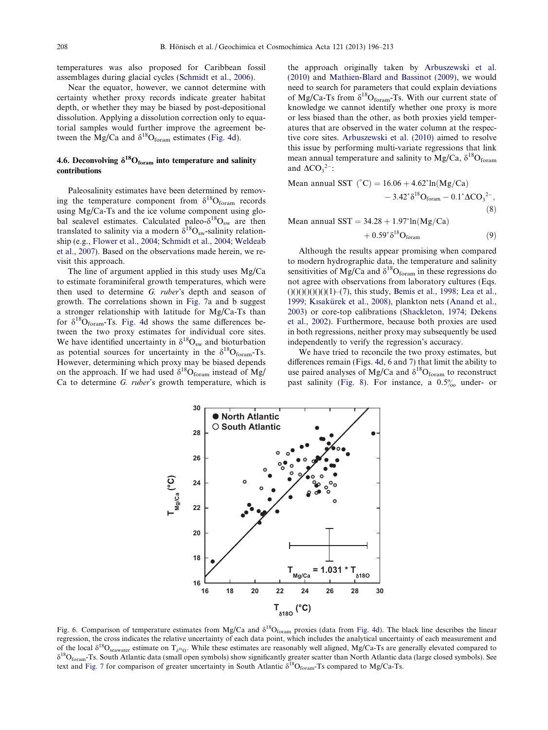temperatures was also proposed for Caribbean fossil assemblages during glacial cycles [\(Schmidt et al., 2006](#page-16-0)).

Near the equator, however, we cannot determine with certainty whether proxy records indicate greater habitat depth, or whether they may be biased by post-depositional dissolution. Applying a dissolution correction only to equatorial samples would further improve the agreement between the Mg/Ca and  $\delta^{18}O_{\text{form}}$  estimates [\(Fig. 4](#page-8-0)d).

## 4.6. Deconvolving  $\delta^{18}O_{\text{form}}$  into temperature and salinity contributions

Paleosalinity estimates have been determined by removing the temperature component from  $\delta^{18}O_{\text{form}}$  records using Mg/Ca-Ts and the ice volume component using global sealevel estimates. Calculated paleo- $\delta^{18}O_{sw}$  are then translated to salinity via a modern  $\delta^{18}O_{sw}$ -salinity relationship (e.g., [Flower et al., 2004; Schmidt et al., 2004; Weldeab](#page-15-0) [et al., 2007](#page-15-0)). Based on the observations made herein, we revisit this approach.

The line of argument applied in this study uses Mg/Ca to estimate foraminiferal growth temperatures, which were then used to determine G. ruber's depth and season of growth. The correlations shown in [Fig. 7](#page-13-0)a and b suggest a stronger relationship with latitude for Mg/Ca-Ts than for  $\delta^{18}O_{\text{form}}$ -Ts. [Fig. 4](#page-8-0)d shows the same differences between the two proxy estimates for individual core sites. We have identified uncertainty in  $\delta^{18}O_{sw}$  and bioturbation as potential sources for uncertainty in the  $\delta^{18}O_{\text{form}}$ -Ts. However, determining which proxy may be biased depends on the approach. If we had used  $\delta^{18}O_{\text{form}}$  instead of Mg/ Ca to determine G. ruber's growth temperature, which is

the approach originally taken by [Arbuszewski et al.](#page-15-0) [\(2010\)](#page-15-0) and [Mathien-Blard and Bassinot \(2009\)](#page-16-0), we would need to search for parameters that could explain deviations of Mg/Ca-Ts from  $\delta^{18}O_{\text{form}}$ -Ts. With our current state of knowledge we cannot identify whether one proxy is more or less biased than the other, as both proxies yield temperatures that are observed in the water column at the respective core sites. [Arbuszewski et al. \(2010\)](#page-15-0) aimed to resolve this issue by performing multi-variate regressions that link mean annual temperature and salinity to Mg/Ca,  $\delta^{18}O_{\text{form}}$ and  $\Delta CO_3^{2-}$ :

Mean annual SST  $(°C) = 16.06 + 4.62<sup>*</sup>ln(Mg/Ca)$  $-3.42^* \delta^{18} \text{O}_{\text{form}} - 0.1^* \Delta \text{CO}_3^2$ <sup>2-</sup>,  $(8)$ Mean annual  $SST = 34.28 + 1.97^* \ln(Mg/Ca)$ 

$$
+ 0.59^* \delta^{18} O_{\text{foram}} \tag{9}
$$

Although the results appear promising when compared to modern hydrographic data, the temperature and salinity sensitivities of Mg/Ca and  $\delta^{18}O_{\text{form}}$  in these regressions do not agree with observations from laboratory cultures (Eqs.  $(0)(0)(0)(0)(1)$ –(7), this study, [Bemis et al., 1998; Lea et al.,](#page-15-0) 1999; Kısakürek et al., 2008), plankton nets [\(Anand et al.,](#page-15-0) [2003\)](#page-15-0) or core-top calibrations [\(Shackleton, 1974; Dekens](#page-16-0) [et al., 2002\)](#page-16-0). Furthermore, because both proxies are used in both regressions, neither proxy may subsequently be used independently to verify the regression's accuracy.

We have tried to reconcile the two proxy estimates, but differences remain (Figs. [4](#page-8-0)d, [6](#page-12-0) and [7](#page-13-0)) that limit the ability to use paired analyses of Mg/Ca and  $\delta^{18}O_{\text{form}}$  to reconstruct past salinity [\(Fig. 8](#page-14-0)). For instance, a  $0.5\%$  under- or



<span id="page-12-0"></span>Fig. 6. Comparison of temperature estimates from Mg/Ca and  $\delta^{18}O_{\text{form}}$  proxies (data from [Fig. 4](#page-8-0)d). The black line describes the linear regression, the cross indicates the relative uncertainty of each data point, which includes the analytical uncertainty of each measurement and of the local  $\delta^{18}O_{\text{seawater}}$  estimate on T<sub>8</sub><sup>18</sup>O. While these estimates are reasonably well aligned, Mg/Ca-Ts are generally elevated compared to  $\delta^{18}O_{\text{foram}}$ -Ts. South Atlantic data (small open symbols) show significantly greater scatter than North Atlantic data (large closed symbols). See text and [Fig. 7](#page-13-0) for comparison of greater uncertainty in South Atlantic  $\delta^{18}O_{\text{form}}$ -Ts compared to Mg/Ca-Ts.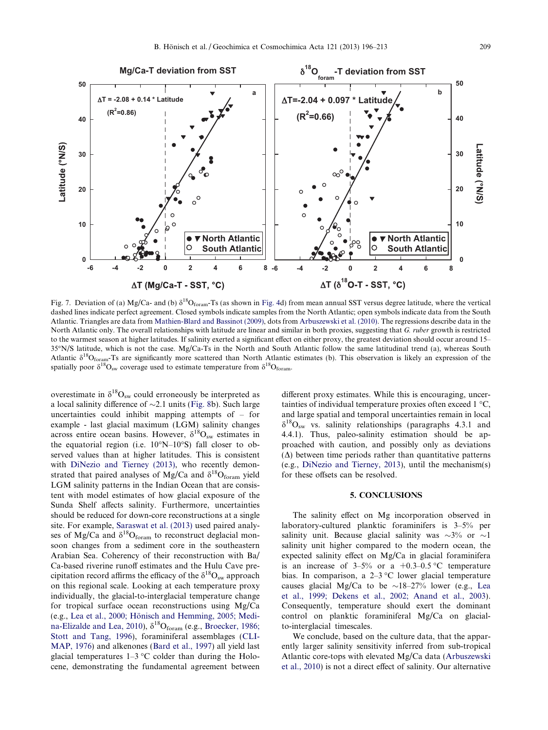

Fig. 7. Deviation of (a) Mg/Ca- and (b)  $\delta^{18}O_{\text{form}}$ -Ts (as shown in [Fig. 4d](#page-8-0)) from mean annual SST versus degree latitude, where the vertical dashed lines indicate perfect agreement. Closed symbols indicate samples from the North Atlantic; open symbols indicate data from the South Atlantic. Triangles are data from [Mathien-Blard and Bassinot \(2009\),](#page-16-0) dots from [Arbuszewski et al. \(2010\)](#page-15-0). The regressions describe data in the North Atlantic only. The overall relationships with latitude are linear and similar in both proxies, suggesting that G. ruber growth is restricted to the warmest season at higher latitudes. If salinity exerted a significant effect on either proxy, the greatest deviation should occur around 15– 35"N/S latitude, which is not the case. Mg/Ca-Ts in the North and South Atlantic follow the same latitudinal trend (a), whereas South Atlantic  $\delta^{18}O_{\text{form}}$ -Ts are significantly more scattered than North Atlantic estimates (b). This observation is likely an expression of the spatially poor  $\delta^{18}O_{sw}$  coverage used to estimate temperature from  $\delta^{18}O_{form}$ .

overestimate in  $\delta^{18}O_{sw}$  could erroneously be interpreted as a local salinity difference of  $\sim$ 2.1 units [\(Fig. 8b](#page-14-0)). Such large uncertainties could inhibit mapping attempts of – for example - last glacial maximum (LGM) salinity changes across entire ocean basins. However,  $\delta^{18}O_{sw}$  estimates in the equatorial region (i.e.  $10^{\circ}$ N– $10^{\circ}$ S) fall closer to observed values than at higher latitudes. This is consistent with [DiNezio and Tierney \(2013\)](#page-15-0), who recently demonstrated that paired analyses of Mg/Ca and  $\delta^{18}O_{\text{form}}$  yield LGM salinity patterns in the Indian Ocean that are consistent with model estimates of how glacial exposure of the Sunda Shelf affects salinity. Furthermore, uncertainties should be reduced for down-core reconstructions at a single site. For example, [Saraswat et al. \(2013\)](#page-16-0) used paired analyses of Mg/Ca and  $\delta^{18}O_{\text{form}}$  to reconstruct deglacial monsoon changes from a sediment core in the southeastern Arabian Sea. Coherency of their reconstruction with Ba/ Ca-based riverine runoff estimates and the Hulu Cave precipitation record affirms the efficacy of the  $\delta^{18}O_{sw}$  approach on this regional scale. Looking at each temperature proxy individually, the glacial-to-interglacial temperature change for tropical surface ocean reconstructions using Mg/Ca (e.g., Lea et al., 2000; Hönisch and Hemming, 2005; Medi[na-Elizalde and Lea, 2010](#page-15-0)),  $\delta^{18}O_{\text{form}}$  (e.g., [Broecker, 1986;](#page-15-0) [Stott and Tang, 1996\)](#page-15-0), foraminiferal assemblages ([CLI-](#page-15-0)[MAP, 1976\)](#page-15-0) and alkenones [\(Bard et al., 1997](#page-15-0)) all yield last glacial temperatures  $1-3$  °C colder than during the Holocene, demonstrating the fundamental agreement between different proxy estimates. While this is encouraging, uncertainties of individual temperature proxies often exceed 1 "C, and large spatial and temporal uncertainties remain in local  $\delta^{18}O_{\rm sw}$  vs. salinity relationships (paragraphs 4.3.1 and 4.4.1). Thus, paleo-salinity estimation should be approached with caution, and possibly only as deviations  $(\Delta)$  between time periods rather than quantitative patterns (e.g., [DiNezio and Tierney, 2013\)](#page-15-0), until the mechanism(s) for these offsets can be resolved.

## 5. CONCLUSIONS

The salinity effect on Mg incorporation observed in laboratory-cultured planktic foraminifers is 3–5% per salinity unit. Because glacial salinity was  $\sim 3\%$  or  $\sim 1$ salinity unit higher compared to the modern ocean, the expected salinity effect on Mg/Ca in glacial foraminifera is an increase of  $3-5\%$  or a  $+0.3-0.5$  °C temperature bias. In comparison, a  $2-3$  °C lower glacial temperature causes glacial Mg/Ca to be  $\sim$ 18–27% lower (e.g., [Lea](#page-15-0) [et al., 1999; Dekens et al., 2002; Anand et al., 2003](#page-15-0)). Consequently, temperature should exert the dominant control on planktic foraminiferal Mg/Ca on glacialto-interglacial timescales.

<span id="page-13-0"></span>We conclude, based on the culture data, that the apparently larger salinity sensitivity inferred from sub-tropical Atlantic core-tops with elevated Mg/Ca data ([Arbuszewski](#page-15-0) [et al., 2010](#page-15-0)) is not a direct effect of salinity. Our alternative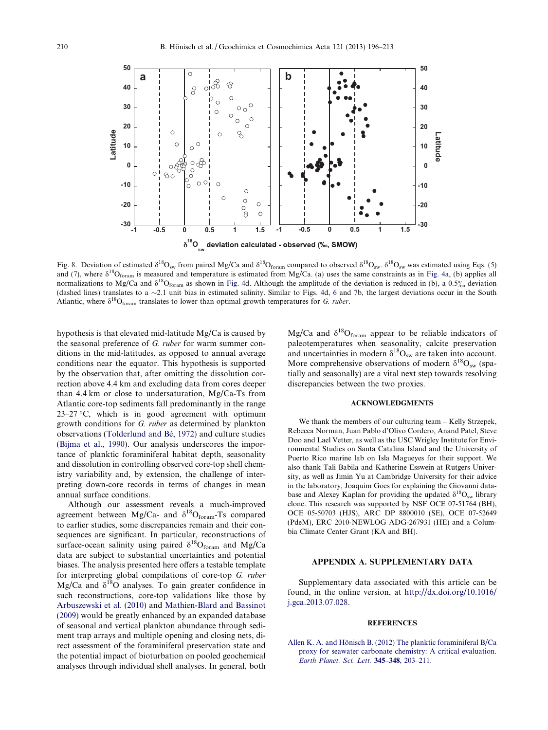

Fig. 8. Deviation of estimated  $\delta^{18}O_{sw}$  from paired Mg/Ca and  $\delta^{18}O_{form}$  compared to observed  $\delta^{18}O_{sw}$ .  $\delta^{18}O_{sw}$  was estimated using Eqs. (5) and (7), where  $\delta^{18}O_{\text{form}}$  is measured and temperature is estimated from Mg/Ca. (a) uses the same constraints as in [Fig. 4](#page-8-0)a, (b) applies all normalizations to Mg/Ca and  $\delta^{18}O_{\text{form}}$  as shown in [Fig. 4d](#page-8-0). Although the amplitude of the deviation is reduced in (b), a 0.5% deviation (dashed lines) translates to a  $\sim$ 2.1 unit bias in estimated salinity. Similar to Figs. [4d](#page-8-0), [6](#page-12-0) and [7b](#page-13-0), the largest deviations occur in the South Atlantic, where  $\delta^{18}O_{\text{form}}$  translates to lower than optimal growth temperatures for G. ruber.

hypothesis is that elevated mid-latitude Mg/Ca is caused by the seasonal preference of G. ruber for warm summer conditions in the mid-latitudes, as opposed to annual average conditions near the equator. This hypothesis is supported by the observation that, after omitting the dissolution correction above 4.4 km and excluding data from cores deeper than 4.4 km or close to undersaturation, Mg/Ca-Ts from Atlantic core-top sediments fall predominantly in the range  $23-27$  °C, which is in good agreement with optimum growth conditions for G. ruber as determined by plankton observations (Tolderlund and Bé, 1972) and culture studies ([Bijma et al., 1990\)](#page-15-0). Our analysis underscores the importance of planktic foraminiferal habitat depth, seasonality and dissolution in controlling observed core-top shell chemistry variability and, by extension, the challenge of interpreting down-core records in terms of changes in mean annual surface conditions.

<span id="page-14-0"></span>Although our assessment reveals a much-improved agreement between Mg/Ca- and  $\delta^{18}O_{\text{form}}$ -Ts compared to earlier studies, some discrepancies remain and their consequences are significant. In particular, reconstructions of surface-ocean salinity using paired  $\delta^{18}O_{\text{form}}$  and Mg/Ca data are subject to substantial uncertainties and potential biases. The analysis presented here offers a testable template for interpreting global compilations of core-top G. ruber Mg/Ca and  $\delta^{18}$ O analyses. To gain greater confidence in such reconstructions, core-top validations like those by [Arbuszewski et al. \(2010\)](#page-15-0) and [Mathien-Blard and Bassinot](#page-16-0) [\(2009\)](#page-16-0) would be greatly enhanced by an expanded database of seasonal and vertical plankton abundance through sediment trap arrays and multiple opening and closing nets, direct assessment of the foraminiferal preservation state and the potential impact of bioturbation on pooled geochemical analyses through individual shell analyses. In general, both

Mg/Ca and  $\delta^{18}O_{\text{form}}$  appear to be reliable indicators of paleotemperatures when seasonality, calcite preservation and uncertainties in modern  $\delta^{18}O_{sw}$  are taken into account. More comprehensive observations of modern  $\delta^{18}O_{sw}$  (spatially and seasonally) are a vital next step towards resolving discrepancies between the two proxies.

#### ACKNOWLEDGMENTS

We thank the members of our culturing team – Kelly Strzepek, Rebecca Norman, Juan Pablo d'Olivo Cordero, Anand Patel, Steve Doo and Lael Vetter, as well as the USC Wrigley Institute for Environmental Studies on Santa Catalina Island and the University of Puerto Rico marine lab on Isla Magueyes for their support. We also thank Tali Babila and Katherine Esswein at Rutgers University, as well as Jimin Yu at Cambridge University for their advice in the laboratory, Joaquim Goes for explaining the Giovanni database and Alexey Kaplan for providing the updated  $\delta^{18}O_{\text{sw}}$  library clone. This research was supported by NSF OCE 07-51764 (BH), OCE 05-50703 (HJS), ARC DP 8800010 (SE), OCE 07-52649 (PdeM), ERC 2010-NEWLOG ADG-267931 (HE) and a Columbia Climate Center Grant (KA and BH).

## APPENDIX A. SUPPLEMENTARY DATA

Supplementary data associated with this article can be found, in the online version, at [http://dx.doi.org/10.1016/](http://dx.doi.org/10.1016/j.gca.2013.07.028) [j.gca.2013.07.028](http://dx.doi.org/10.1016/j.gca.2013.07.028).

#### **REFERENCES**

Allen K. A. and Hönisch B. (2012) The planktic foraminiferal  $B/Ca$ [proxy for seawater carbonate chemistry: A critical evaluation.](http://refhub.elsevier.com/S0016-7037(13)00408-0/h0005) [Earth Planet. Sci. Lett.](http://refhub.elsevier.com/S0016-7037(13)00408-0/h0005) 345–348, 203–211.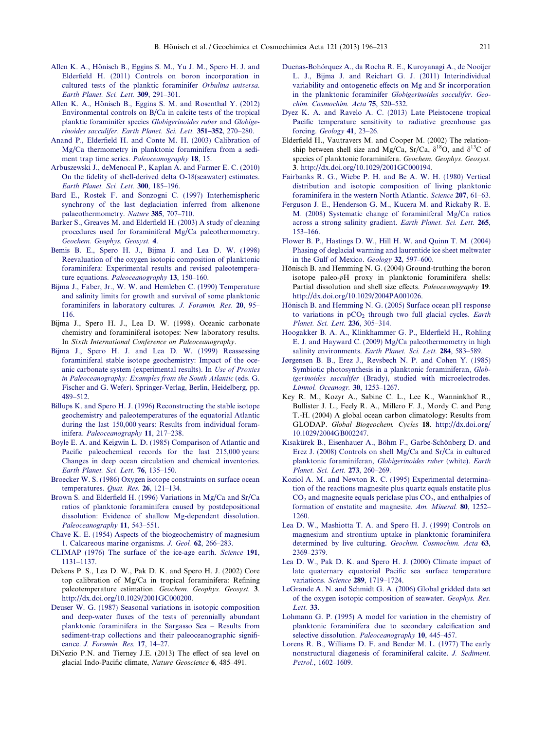- Allen K. A., Hönisch B., Eggins S. M., Yu J. M., Spero H. J. and [Elderfield H. \(2011\) Controls on boron incorporation in](http://refhub.elsevier.com/S0016-7037(13)00408-0/h0010) [cultured tests of the planktic foraminifer](http://refhub.elsevier.com/S0016-7037(13)00408-0/h0010) Orbulina universa. [Earth Planet. Sci. Lett.](http://refhub.elsevier.com/S0016-7037(13)00408-0/h0010) 309, 291–301.
- Allen K. A., Hönisch B., Eggins S. M. and Rosenthal Y. (2012) [Environmental controls on B/Ca in calcite tests of the tropical](http://refhub.elsevier.com/S0016-7037(13)00408-0/h0015) [planktic foraminifer species](http://refhub.elsevier.com/S0016-7037(13)00408-0/h0015) Globigerinoides ruber and Globigerinoides sacculifer. [Earth Planet. Sci. Lett.](http://refhub.elsevier.com/S0016-7037(13)00408-0/h0015) 351–352, 270–280.
- [Anand P., Elderfield H. and Conte M. H. \(2003\) Calibration of](http://refhub.elsevier.com/S0016-7037(13)00408-0/h0020) [Mg/Ca thermometry in planktonic foraminifera from a sedi](http://refhub.elsevier.com/S0016-7037(13)00408-0/h0020)[ment trap time series.](http://refhub.elsevier.com/S0016-7037(13)00408-0/h0020) Paleoceanography 18, 15.
- [Arbuszewski J., deMenocal P., Kaplan A. and Farmer E. C. \(2010\)](http://refhub.elsevier.com/S0016-7037(13)00408-0/h0025) [On the fidelity of shell-derived delta O-18\(seawater\) estimates.](http://refhub.elsevier.com/S0016-7037(13)00408-0/h0025) [Earth Planet. Sci. Lett.](http://refhub.elsevier.com/S0016-7037(13)00408-0/h0025) 300, 185–196.
- [Bard E., Rostek F. and Sonzogni C. \(1997\) Interhemispheric](http://refhub.elsevier.com/S0016-7037(13)00408-0/h0030) [synchrony of the last deglaciation inferred from alkenone](http://refhub.elsevier.com/S0016-7037(13)00408-0/h0030) [palaeothermometry.](http://refhub.elsevier.com/S0016-7037(13)00408-0/h0030) Nature 385, 707–710.
- [Barker S., Greaves M. and Elderfield H. \(2003\) A study of cleaning](http://refhub.elsevier.com/S0016-7037(13)00408-0/h0035) [procedures used for foraminiferal Mg/Ca paleothermometry.](http://refhub.elsevier.com/S0016-7037(13)00408-0/h0035) [Geochem. Geophys. Geosyst.](http://refhub.elsevier.com/S0016-7037(13)00408-0/h0035) 4.
- [Bemis B. E., Spero H. J., Bijma J. and Lea D. W. \(1998\)](http://refhub.elsevier.com/S0016-7037(13)00408-0/h0040) [Reevaluation of the oxygen isotopic composition of planktonic](http://refhub.elsevier.com/S0016-7037(13)00408-0/h0040) [foraminifera: Experimental results and revised paleotempera](http://refhub.elsevier.com/S0016-7037(13)00408-0/h0040)ture equations. [Paleoceanography](http://refhub.elsevier.com/S0016-7037(13)00408-0/h0040) 13, 150–160.
- [Bijma J., Faber, Jr., W. W. and Hemleben C. \(1990\) Temperature](http://refhub.elsevier.com/S0016-7037(13)00408-0/h0045) [and salinity limits for growth and survival of some planktonic](http://refhub.elsevier.com/S0016-7037(13)00408-0/h0045) [foraminifers in laboratory cultures.](http://refhub.elsevier.com/S0016-7037(13)00408-0/h0045) J. Foramin. Res. 20, 95– [116.](http://refhub.elsevier.com/S0016-7037(13)00408-0/h0045)
- Bijma J., Spero H. J., Lea D. W. (1998). Oceanic carbonate chemistry and foraminiferal isotopes: New laboratory results. In Sixth International Conference on Paleoceanography.
- [Bijma J., Spero H. J. and Lea D. W. \(1999\) Reassessing](http://refhub.elsevier.com/S0016-7037(13)00408-0/h0050) [foraminiferal stable isotope geochemistry: Impact of the oce](http://refhub.elsevier.com/S0016-7037(13)00408-0/h0050)[anic carbonate system \(experimental results\). In](http://refhub.elsevier.com/S0016-7037(13)00408-0/h0050) Use of Proxies [in Paleoceanography: Examples from the South Atlantic](http://refhub.elsevier.com/S0016-7037(13)00408-0/h0050) (eds. G. [Fischer and G. Wefer\). Springer-Verlag, Berlin, Heidelberg, pp.](http://refhub.elsevier.com/S0016-7037(13)00408-0/h0050) [489–512](http://refhub.elsevier.com/S0016-7037(13)00408-0/h0050).
- [Billups K. and Spero H. J. \(1996\) Reconstructing the stable isotope](http://refhub.elsevier.com/S0016-7037(13)00408-0/h0055) [geochemistry and paleotemperatures of the equatorial Atlantic](http://refhub.elsevier.com/S0016-7037(13)00408-0/h0055) [during the last 150,000 years: Results from individual foram](http://refhub.elsevier.com/S0016-7037(13)00408-0/h0055)inifera. [Paleoceanography](http://refhub.elsevier.com/S0016-7037(13)00408-0/h0055) 11, 217–238.
- [Boyle E. A. and Keigwin L. D. \(1985\) Comparison of Atlantic and](http://refhub.elsevier.com/S0016-7037(13)00408-0/h0060) [Pacific paleochemical records for the last 215,000 years:](http://refhub.elsevier.com/S0016-7037(13)00408-0/h0060) [Changes in deep ocean circulation and chemical inventories.](http://refhub.elsevier.com/S0016-7037(13)00408-0/h0060) [Earth Planet. Sci. Lett.](http://refhub.elsevier.com/S0016-7037(13)00408-0/h0060) 76, 135–150.
- [Broecker W. S. \(1986\) Oxygen isotope constraints on surface ocean](http://refhub.elsevier.com/S0016-7037(13)00408-0/h0065) [temperatures.](http://refhub.elsevier.com/S0016-7037(13)00408-0/h0065) Quat. Res. 26, 121-134.
- [Brown S. and Elderfield H. \(1996\) Variations in Mg/Ca and Sr/Ca](http://refhub.elsevier.com/S0016-7037(13)00408-0/h0070) [ratios of planktonic foraminifera caused by postdepositional](http://refhub.elsevier.com/S0016-7037(13)00408-0/h0070) [dissolution: Evidence of shallow Mg-dependent dissolution.](http://refhub.elsevier.com/S0016-7037(13)00408-0/h0070) [Paleoceanography](http://refhub.elsevier.com/S0016-7037(13)00408-0/h0070) 11, 543–551.
- [Chave K. E. \(1954\) Aspects of the biogeochemistry of magnesium](http://refhub.elsevier.com/S0016-7037(13)00408-0/h0075) [1. Calcareous marine organisms.](http://refhub.elsevier.com/S0016-7037(13)00408-0/h0075) J. Geol. 62, 266–283.
- [CLIMAP \(1976\) The surface of the ice-age earth.](http://refhub.elsevier.com/S0016-7037(13)00408-0/h0080) Science 191, [1131–1137.](http://refhub.elsevier.com/S0016-7037(13)00408-0/h0080)
- Dekens P. S., Lea D. W., Pak D. K. and Spero H. J. (2002) Core top calibration of Mg/Ca in tropical foraminifera: Refining paleotemperature estimation. Geochem. Geophys. Geosyst. 3. <http://dx.doi.org/10.1029/2001GC000200>.
- [Deuser W. G. \(1987\) Seasonal variations in isotopic composition](http://refhub.elsevier.com/S0016-7037(13)00408-0/h0090) [and deep-water fluxes of the tests of perennially abundant](http://refhub.elsevier.com/S0016-7037(13)00408-0/h0090) [planktonic foraminifera in the Sargasso Sea – Results from](http://refhub.elsevier.com/S0016-7037(13)00408-0/h0090) [sediment-trap collections and their paleoceanographic signifi](http://refhub.elsevier.com/S0016-7037(13)00408-0/h0090)cance. [J. Foramin. Res.](http://refhub.elsevier.com/S0016-7037(13)00408-0/h0090) 17, 14–27.
- <span id="page-15-0"></span>DiNezio P.N. and Tierney J.E. (2013) The effect of sea level on glacial Indo-Pacific climate, Nature Geoscience 6, 485–491.
- Dueñas-Bohórquez A., da Rocha R. E., Kuroyanagi A., de Nooijer [L. J., Bijma J. and Reichart G. J. \(2011\) Interindividual](http://refhub.elsevier.com/S0016-7037(13)00408-0/h0095) [variability and ontogenetic effects on Mg and Sr incorporation](http://refhub.elsevier.com/S0016-7037(13)00408-0/h0095) [in the planktonic foraminifer](http://refhub.elsevier.com/S0016-7037(13)00408-0/h0095) Globigerinoides sacculifer. Geo[chim. Cosmochim. Acta](http://refhub.elsevier.com/S0016-7037(13)00408-0/h0095) 75, 520–532.
- [Dyez K. A. and Ravelo A. C. \(2013\) Late Pleistocene tropical](http://refhub.elsevier.com/S0016-7037(13)00408-0/h0100) [Pacific temperature sensitivity to radiative greenhouse gas](http://refhub.elsevier.com/S0016-7037(13)00408-0/h0100) forcing. [Geology](http://refhub.elsevier.com/S0016-7037(13)00408-0/h0100) 41, 23–26.
- Elderfield H., Vautravers M. and Cooper M. (2002) The relationship between shell size and Mg/Ca, Sr/Ca,  $\delta^{18}O$ , and  $\delta^{13}C$  of species of planktonic foraminifera. Geochem. Geophys. Geosyst. 3. [http://dx.doi.org/10.1029/2001GC000194.](http://dx.doi.org/10.1029/2001GC000194)
- [Fairbanks R. G., Wiebe P. H. and Be A. W. H. \(1980\) Vertical](http://refhub.elsevier.com/S0016-7037(13)00408-0/h0110) [distribution and isotopic composition of living planktonic](http://refhub.elsevier.com/S0016-7037(13)00408-0/h0110) [foraminifera in the western North Atlantic.](http://refhub.elsevier.com/S0016-7037(13)00408-0/h0110) Science 207, 61–63.
- [Ferguson J. E., Henderson G. M., Kucera M. and Rickaby R. E.](http://refhub.elsevier.com/S0016-7037(13)00408-0/h0115) [M. \(2008\) Systematic change of foraminiferal Mg/Ca ratios](http://refhub.elsevier.com/S0016-7037(13)00408-0/h0115) [across a strong salinity gradient.](http://refhub.elsevier.com/S0016-7037(13)00408-0/h0115) Earth Planet. Sci. Lett. 265, [153–166.](http://refhub.elsevier.com/S0016-7037(13)00408-0/h0115)
- [Flower B. P., Hastings D. W., Hill H. W. and Quinn T. M. \(2004\)](http://refhub.elsevier.com/S0016-7037(13)00408-0/h0120) [Phasing of deglacial warming and laurentide ice sheet meltwater](http://refhub.elsevier.com/S0016-7037(13)00408-0/h0120) [in the Gulf of Mexico.](http://refhub.elsevier.com/S0016-7037(13)00408-0/h0120) Geology 32, 597–600.
- Hönisch B. and Hemming N. G. (2004) Ground-truthing the boron isotope paleo-pH proxy in planktonic foraminifera shells: Partial dissolution and shell size effects. Paleoceanography 19. [http://dx.doi.org/10.1029/2004PA001026.](http://dx.doi.org/10.1029/2004PA001026)
- Hönisch B. and Hemming N. G. (2005) Surface ocean pH response to variations in  $pCO<sub>2</sub>$  [through two full glacial cycles.](http://refhub.elsevier.com/S0016-7037(13)00408-0/h0130) Earth [Planet. Sci. Lett.](http://refhub.elsevier.com/S0016-7037(13)00408-0/h0130) 236, 305–314.
- [Hoogakker B. A. A., Klinkhammer G. P., Elderfield H., Rohling](http://refhub.elsevier.com/S0016-7037(13)00408-0/h0135) [E. J. and Hayward C. \(2009\) Mg/Ca paleothermometry in high](http://refhub.elsevier.com/S0016-7037(13)00408-0/h0135) salinity environments. [Earth Planet. Sci. Lett.](http://refhub.elsevier.com/S0016-7037(13)00408-0/h0135) 284, 583-589.
- [Jørgensen B. B., Erez J., Revsbech N. P. and Cohen Y. \(1985\)](http://refhub.elsevier.com/S0016-7037(13)00408-0/h0140) [Symbiotic photosynthesis in a planktonic foraminiferan,](http://refhub.elsevier.com/S0016-7037(13)00408-0/h0140) Globigerinoides sacculifer [\(Brady\), studied with microelectrodes.](http://refhub.elsevier.com/S0016-7037(13)00408-0/h0140) [Limnol. Oceanogr.](http://refhub.elsevier.com/S0016-7037(13)00408-0/h0140) 30, 1253–1267.
- Key R. M., Kozyr A., Sabine C. L., Lee K., Wanninkhof R., Bullister J. L., Feely R. A., Millero F. J., Mordy C. and Peng T.-H. (2004) A global ocean carbon climatology: Results from GLODAP. Global Biogeochem. Cycles 18. [http://dx.doi.org/](http://dx.doi.org/10.1029/2004GB002247) [10.1029/2004GB002247.](http://dx.doi.org/10.1029/2004GB002247)
- Kısakürek B., Eisenhauer A., Böhm F., Garbe-Schönberg D. and [Erez J. \(2008\) Controls on shell Mg/Ca and Sr/Ca in cultured](http://refhub.elsevier.com/S0016-7037(13)00408-0/h0150) [planktonic foraminiferan,](http://refhub.elsevier.com/S0016-7037(13)00408-0/h0150) Globigerinoides ruber (white). Earth [Planet. Sci. Lett.](http://refhub.elsevier.com/S0016-7037(13)00408-0/h0150) 273, 260–269.
- [Koziol A. M. and Newton R. C. \(1995\) Experimental determina](http://refhub.elsevier.com/S0016-7037(13)00408-0/h0155)[tion of the reactions magnesite plus quartz equals enstatite plus](http://refhub.elsevier.com/S0016-7037(13)00408-0/h0155)  $CO<sub>2</sub>$  and magnesite equals periclase plus  $CO<sub>2</sub>$ , and enthalpies of [formation of enstatite and magnesite.](http://refhub.elsevier.com/S0016-7037(13)00408-0/h0155) Am. Mineral. 80, 1252– [1260.](http://refhub.elsevier.com/S0016-7037(13)00408-0/h0155)
- [Lea D. W., Mashiotta T. A. and Spero H. J. \(1999\) Controls on](http://refhub.elsevier.com/S0016-7037(13)00408-0/h0160) [magnesium and strontium uptake in planktonic foraminifera](http://refhub.elsevier.com/S0016-7037(13)00408-0/h0160) [determined by live culturing.](http://refhub.elsevier.com/S0016-7037(13)00408-0/h0160) Geochim. Cosmochim. Acta 63, [2369–2379.](http://refhub.elsevier.com/S0016-7037(13)00408-0/h0160)
- [Lea D. W., Pak D. K. and Spero H. J. \(2000\) Climate impact of](http://refhub.elsevier.com/S0016-7037(13)00408-0/h0165) [late quaternary equatorial Pacific sea surface temperature](http://refhub.elsevier.com/S0016-7037(13)00408-0/h0165) variations. Science 289[, 1719–1724.](http://refhub.elsevier.com/S0016-7037(13)00408-0/h0165)
- [LeGrande A. N. and Schmidt G. A. \(2006\) Global gridded data set](http://refhub.elsevier.com/S0016-7037(13)00408-0/h0170) [of the oxygen isotopic composition of seawater.](http://refhub.elsevier.com/S0016-7037(13)00408-0/h0170) Geophys. Res. [Lett.](http://refhub.elsevier.com/S0016-7037(13)00408-0/h0170) 33.
- [Lohmann G. P. \(1995\) A model for variation in the chemistry of](http://refhub.elsevier.com/S0016-7037(13)00408-0/h0175) [planktonic foraminifera due to secondary calcification and](http://refhub.elsevier.com/S0016-7037(13)00408-0/h0175) [selective dissolution.](http://refhub.elsevier.com/S0016-7037(13)00408-0/h0175) Paleoceanography 10, 445-457.
- [Lorens R. B., Williams D. F. and Bender M. L. \(1977\) The early](http://refhub.elsevier.com/S0016-7037(13)00408-0/h0180) [nonstructural diagenesis of foraminiferal calcite.](http://refhub.elsevier.com/S0016-7037(13)00408-0/h0180) J. Sediment. Petrol.[, 1602–1609.](http://refhub.elsevier.com/S0016-7037(13)00408-0/h0180)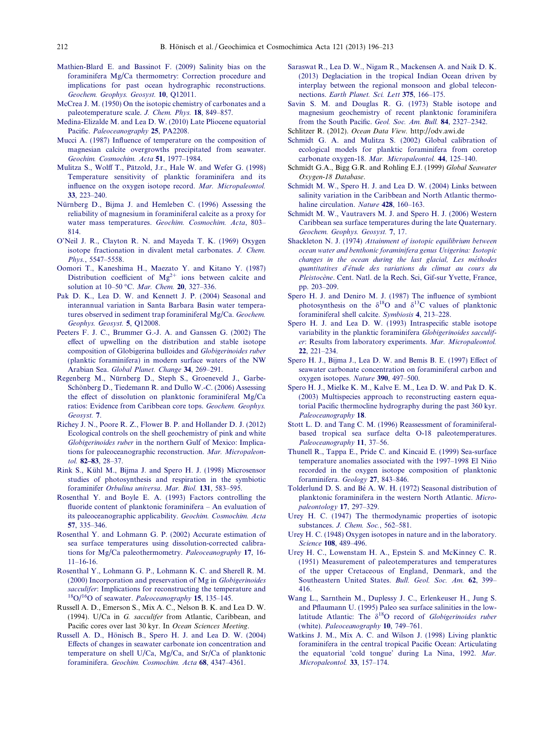- [Mathien-Blard E. and Bassinot F. \(2009\) Salinity bias on the](http://refhub.elsevier.com/S0016-7037(13)00408-0/h0185) [foraminifera Mg/Ca thermometry: Correction procedure and](http://refhub.elsevier.com/S0016-7037(13)00408-0/h0185) [implications for past ocean hydrographic reconstructions.](http://refhub.elsevier.com/S0016-7037(13)00408-0/h0185) [Geochem. Geophys. Geosyst.](http://refhub.elsevier.com/S0016-7037(13)00408-0/h0185) 10, Q12011.
- [McCrea J. M. \(1950\) On the isotopic chemistry of carbonates and a](http://refhub.elsevier.com/S0016-7037(13)00408-0/h0190) [paleotemperature scale.](http://refhub.elsevier.com/S0016-7037(13)00408-0/h0190) J. Chem. Phys. 18, 849–857.
- [Medina-Elizalde M. and Lea D. W. \(2010\) Late Pliocene equatorial](http://refhub.elsevier.com/S0016-7037(13)00408-0/h0195) Pacific. [Paleoceanography](http://refhub.elsevier.com/S0016-7037(13)00408-0/h0195) 25, PA2208.
- [Mucci A. \(1987\) Influence of temperature on the composition of](http://refhub.elsevier.com/S0016-7037(13)00408-0/h0200) [magnesian calcite overgrowths precipitated from seawater.](http://refhub.elsevier.com/S0016-7037(13)00408-0/h0200) [Geochim. Cosmochim. Acta](http://refhub.elsevier.com/S0016-7037(13)00408-0/h0200) 51, 1977–1984.
- [Mulitza S., Wolff](http://refhub.elsevier.com/S0016-7037(13)00408-0/h0205) T., Pätzold, J.r., [Hale W. and Wefer G. \(1998\)](http://refhub.elsevier.com/S0016-7037(13)00408-0/h0205) [Temperature sensitivity of planktic foraminifera and its](http://refhub.elsevier.com/S0016-7037(13)00408-0/h0205) [influence on the oxygen isotope record.](http://refhub.elsevier.com/S0016-7037(13)00408-0/h0205) Mar. Micropaleontol. 33[, 223–240.](http://refhub.elsevier.com/S0016-7037(13)00408-0/h0205)
- Nürnberg D., Bijma J. and Hemleben C. (1996) Assessing the [reliability of magnesium in foraminiferal calcite as a proxy for](http://refhub.elsevier.com/S0016-7037(13)00408-0/h0210) water mass temperatures. [Geochim. Cosmochim. Acta](http://refhub.elsevier.com/S0016-7037(13)00408-0/h0210), 803– [814.](http://refhub.elsevier.com/S0016-7037(13)00408-0/h0210)
- [O'Neil J. R., Clayton R. N. and Mayeda T. K. \(1969\) Oxygen](http://refhub.elsevier.com/S0016-7037(13)00408-0/h0215) [isotope fractionation in divalent metal carbonates.](http://refhub.elsevier.com/S0016-7037(13)00408-0/h0215) J. Chem. Phys.[, 5547–5558.](http://refhub.elsevier.com/S0016-7037(13)00408-0/h0215)
- [Oomori T., Kaneshima H., Maezato Y. and Kitano Y. \(1987\)](http://refhub.elsevier.com/S0016-7037(13)00408-0/h0220) [Distribution](http://refhub.elsevier.com/S0016-7037(13)00408-0/h0220) [coefficient](http://refhub.elsevier.com/S0016-7037(13)00408-0/h0220) [of](http://refhub.elsevier.com/S0016-7037(13)00408-0/h0220)  $Mg^{2+}$  [ions between calcite and](http://refhub.elsevier.com/S0016-7037(13)00408-0/h0220) [solution at 10–50](http://refhub.elsevier.com/S0016-7037(13)00408-0/h0220) "C. Mar. Chem. 20, 327–336.
- [Pak D. K., Lea D. W. and Kennett J. P. \(2004\) Seasonal and](http://refhub.elsevier.com/S0016-7037(13)00408-0/h0225) [interannual variation in Santa Barbara Basin water tempera](http://refhub.elsevier.com/S0016-7037(13)00408-0/h0225)[tures observed in sediment trap foraminiferal Mg/Ca.](http://refhub.elsevier.com/S0016-7037(13)00408-0/h0225) Geochem. [Geophys. Geosyst.](http://refhub.elsevier.com/S0016-7037(13)00408-0/h0225) 5, Q12008.
- [Peeters F. J. C., Brummer G.-J. A. and Ganssen G. \(2002\) The](http://refhub.elsevier.com/S0016-7037(13)00408-0/h0230) [effect of upwelling on the distribution and stable isotope](http://refhub.elsevier.com/S0016-7037(13)00408-0/h0230) [composition of Globigerina bulloides and](http://refhub.elsevier.com/S0016-7037(13)00408-0/h0230) Globigerinoides ruber [\(planktic foraminifera\) in modern surface waters of the NW](http://refhub.elsevier.com/S0016-7037(13)00408-0/h0230) Arabian Sea. [Global Planet. Change](http://refhub.elsevier.com/S0016-7037(13)00408-0/h0230) 34, 269–291.
- Regenberg M., Nürnberg D., Steph S., Groeneveld J., Garbe-Schönberg D., Tiedemann R. and Dullo W.-C. (2006) Assessing [the effect of dissolution on planktonic foraminiferal Mg/Ca](http://refhub.elsevier.com/S0016-7037(13)00408-0/h0235) [ratios: Evidence from Caribbean core tops.](http://refhub.elsevier.com/S0016-7037(13)00408-0/h0235) Geochem. Geophys. [Geosyst.](http://refhub.elsevier.com/S0016-7037(13)00408-0/h0235) 7.
- [Richey J. N., Poore R. Z., Flower B. P. and Hollander D. J. \(2012\)](http://refhub.elsevier.com/S0016-7037(13)00408-0/h0240) [Ecological controls on the shell geochemistry of pink and white](http://refhub.elsevier.com/S0016-7037(13)00408-0/h0240) Globigerinoides ruber [in the northern Gulf of Mexico: Implica](http://refhub.elsevier.com/S0016-7037(13)00408-0/h0240)[tions for paleoceanographic reconstruction.](http://refhub.elsevier.com/S0016-7037(13)00408-0/h0240) Mar. Micropaleontol. 82–83[, 28–37.](http://refhub.elsevier.com/S0016-7037(13)00408-0/h0240)
- Rink S., Kühl M., Bijma J. and Spero H. J. (1998) Microsensor [studies of photosynthesis and respiration in the symbiotic](http://refhub.elsevier.com/S0016-7037(13)00408-0/h0245) foraminifer [Orbulina universa](http://refhub.elsevier.com/S0016-7037(13)00408-0/h0245). Mar. Biol. 131, 583–595.
- [Rosenthal Y. and Boyle E. A. \(1993\) Factors controlling the](http://refhub.elsevier.com/S0016-7037(13)00408-0/h0250) [fluoride content of planktonic foraminifera – An evaluation of](http://refhub.elsevier.com/S0016-7037(13)00408-0/h0250) [its paleoceanographic applicability.](http://refhub.elsevier.com/S0016-7037(13)00408-0/h0250) Geochim. Cosmochim. Acta 57[, 335–346.](http://refhub.elsevier.com/S0016-7037(13)00408-0/h0250)
- [Rosenthal Y. and Lohmann G. P. \(2002\) Accurate estimation of](http://refhub.elsevier.com/S0016-7037(13)00408-0/h0255) [sea surface temperatures using dissolution-corrected calibra](http://refhub.elsevier.com/S0016-7037(13)00408-0/h0255)[tions for Mg/Ca paleothermometry.](http://refhub.elsevier.com/S0016-7037(13)00408-0/h0255) Paleoceanography 17, 16-  $11-16-16$ .
- [Rosenthal Y., Lohmann G. P., Lohmann K. C. and Sherell R. M.](http://refhub.elsevier.com/S0016-7037(13)00408-0/h0260) [\(2000\) Incorporation and preservation of Mg in](http://refhub.elsevier.com/S0016-7037(13)00408-0/h0260) Globigerinoides sacculifer[: Implications for reconstructing the temperature and](http://refhub.elsevier.com/S0016-7037(13)00408-0/h0260)  $^{18}O/^{16}O$  of seawater. *[Paleoceanography](http://refhub.elsevier.com/S0016-7037(13)00408-0/h0260)* 15, 135–145.
- Russell A. D., Emerson S., Mix A. C., Nelson B. K. and Lea D. W. (1994). U/Ca in G. sacculifer from Atlantic, Caribbean, and Pacific cores over last 30 kyr. In Ocean Sciences Meeting.
- <span id="page-16-0"></span>Russell A. D., Hönisch B., Spero H. J. and Lea D. W. (2004) [Effects of changes in seawater carbonate ion concentration and](http://refhub.elsevier.com/S0016-7037(13)00408-0/h0265) [temperature on shell U/Ca, Mg/Ca, and Sr/Ca of planktonic](http://refhub.elsevier.com/S0016-7037(13)00408-0/h0265) foraminifera. [Geochim. Cosmochim. Acta](http://refhub.elsevier.com/S0016-7037(13)00408-0/h0265) 68, 4347–4361.
- [Saraswat R., Lea D. W., Nigam R., Mackensen A. and Naik D. K.](http://refhub.elsevier.com/S0016-7037(13)00408-0/h0270) [\(2013\) Deglaciation in the tropical Indian Ocean driven by](http://refhub.elsevier.com/S0016-7037(13)00408-0/h0270) [interplay between the regional monsoon and global telecon](http://refhub.elsevier.com/S0016-7037(13)00408-0/h0270)nections. [Earth Planet. Sci. Lett](http://refhub.elsevier.com/S0016-7037(13)00408-0/h0270) 375, 166–175.
- [Savin S. M. and Douglas R. G. \(1973\) Stable isotope and](http://refhub.elsevier.com/S0016-7037(13)00408-0/h0275) [magnesium geochemistry of recent planktonic foraminifera](http://refhub.elsevier.com/S0016-7037(13)00408-0/h0275) [from the South Pacific.](http://refhub.elsevier.com/S0016-7037(13)00408-0/h0275) Geol. Soc. Am. Bull. 84, 2327–2342.
- Schlitzer R. (2012). Ocean Data View. http://odv.awi.de
- [Schmidt G. A. and Mulitza S. \(2002\) Global calibration of](http://refhub.elsevier.com/S0016-7037(13)00408-0/h0280) [ecological models for planktic foraminifera from coretop](http://refhub.elsevier.com/S0016-7037(13)00408-0/h0280) [carbonate oxygen-18.](http://refhub.elsevier.com/S0016-7037(13)00408-0/h0280) Mar. Micropaleontol. 44, 125–140.
- Schmidt G.A., Bigg G.R. and Rohling E.J. (1999) Global Seawater Oxygen-18 Database.
- [Schmidt M. W., Spero H. J. and Lea D. W. \(2004\) Links between](http://refhub.elsevier.com/S0016-7037(13)00408-0/h0285) [salinity variation in the Caribbean and North Atlantic thermo](http://refhub.elsevier.com/S0016-7037(13)00408-0/h0285)[haline circulation.](http://refhub.elsevier.com/S0016-7037(13)00408-0/h0285) Nature **428**, 160-163.
- [Schmidt M. W., Vautravers M. J. and Spero H. J. \(2006\) Western](http://refhub.elsevier.com/S0016-7037(13)00408-0/h0290) [Caribbean sea surface temperatures during the late Quaternary.](http://refhub.elsevier.com/S0016-7037(13)00408-0/h0290) [Geochem. Geophys. Geosyst.](http://refhub.elsevier.com/S0016-7037(13)00408-0/h0290) 7, 17.
- Shackleton N. J. (1974) [Attainment of isotopic equilibrium between](http://refhub.elsevier.com/S0016-7037(13)00408-0/h0295) [ocean water and benthonic foraminifera genus Uvigerina: Isotopic](http://refhub.elsevier.com/S0016-7037(13)00408-0/h0295) changes in the ocean during the last glacial, Les méthodes quantitatives d'étude des variations du climat au cours du Pleistocène[. Cent. Natl. de la Rech. Sci, Gif-sur Yvette, France,](http://refhub.elsevier.com/S0016-7037(13)00408-0/h0295) [pp. 203–209](http://refhub.elsevier.com/S0016-7037(13)00408-0/h0295).
- [Spero H. J. and Deniro M. J. \(1987\) The influence of symbiont](http://refhub.elsevier.com/S0016-7037(13)00408-0/h0300) [photosynthesis](http://refhub.elsevier.com/S0016-7037(13)00408-0/h0300) [on](http://refhub.elsevier.com/S0016-7037(13)00408-0/h0300) [the](http://refhub.elsevier.com/S0016-7037(13)00408-0/h0300)  $\delta^{18}$ O [and](http://refhub.elsevier.com/S0016-7037(13)00408-0/h0300)  $\delta^{13}$ C values of planktonic [foraminiferal shell calcite.](http://refhub.elsevier.com/S0016-7037(13)00408-0/h0300) Symbiosis 4, 213–228.
- [Spero H. J. and Lea D. W. \(1993\) Intraspecific stable isotope](http://refhub.elsevier.com/S0016-7037(13)00408-0/h0305) [variability in the planktic foraminifera](http://refhub.elsevier.com/S0016-7037(13)00408-0/h0305) Globigerinoides sacculifer[: Results from laboratory experiments.](http://refhub.elsevier.com/S0016-7037(13)00408-0/h0305) Mar. Micropaleontol. 22[, 221–234.](http://refhub.elsevier.com/S0016-7037(13)00408-0/h0305)
- [Spero H. J., Bijma J., Lea D. W. and Bemis B. E. \(1997\) Effect of](http://refhub.elsevier.com/S0016-7037(13)00408-0/h0310) [seawater carbonate concentration on foraminiferal carbon and](http://refhub.elsevier.com/S0016-7037(13)00408-0/h0310) [oxygen isotopes.](http://refhub.elsevier.com/S0016-7037(13)00408-0/h0310) Nature 390, 497–500.
- [Spero H. J., Mielke K. M., Kalve E. M., Lea D. W. and Pak D. K.](http://refhub.elsevier.com/S0016-7037(13)00408-0/h0315) [\(2003\) Multispecies approach to reconstructing eastern equa](http://refhub.elsevier.com/S0016-7037(13)00408-0/h0315)[torial Pacific thermocline hydrography during the past 360 kyr.](http://refhub.elsevier.com/S0016-7037(13)00408-0/h0315) [Paleoceanography](http://refhub.elsevier.com/S0016-7037(13)00408-0/h0315) 18.
- [Stott L. D. and Tang C. M. \(1996\) Reassessment of foraminiferal](http://refhub.elsevier.com/S0016-7037(13)00408-0/h0320)[based tropical sea surface delta O-18 paleotemperatures.](http://refhub.elsevier.com/S0016-7037(13)00408-0/h0320) [Paleoceanography](http://refhub.elsevier.com/S0016-7037(13)00408-0/h0320) 11, 37–56.
- [Thunell R., Tappa E., Pride C. and Kincaid E. \(1999\) Sea-surface](http://refhub.elsevier.com/S0016-7037(13)00408-0/h0325) temperature anomalies associated with the 1997–1998 El Niño [recorded in the oxygen isotope composition of planktonic](http://refhub.elsevier.com/S0016-7037(13)00408-0/h0325) [foraminifera.](http://refhub.elsevier.com/S0016-7037(13)00408-0/h0325) Geology 27, 843–846.
- Tolderlund D. S. and Bé [A. W. H. \(1972\) Seasonal distribution of](http://refhub.elsevier.com/S0016-7037(13)00408-0/h0330) [planktonic foraminifera in the western North Atlantic.](http://refhub.elsevier.com/S0016-7037(13)00408-0/h0330) Micro[paleontology](http://refhub.elsevier.com/S0016-7037(13)00408-0/h0330) 17, 297–329.
- [Urey H. C. \(1947\) The thermodynamic properties of isotopic](http://refhub.elsevier.com/S0016-7037(13)00408-0/h0335) substances. [J. Chem. Soc.](http://refhub.elsevier.com/S0016-7037(13)00408-0/h0335), 562-581.
- [Urey H. C. \(1948\) Oxygen isotopes in nature and in the laboratory.](http://refhub.elsevier.com/S0016-7037(13)00408-0/h0340) Science 108[, 489–496.](http://refhub.elsevier.com/S0016-7037(13)00408-0/h0340)
- [Urey H. C., Lowenstam H. A., Epstein S. and McKinney C. R.](http://refhub.elsevier.com/S0016-7037(13)00408-0/h0345) [\(1951\) Measurement of paleotemperatures and temperatures](http://refhub.elsevier.com/S0016-7037(13)00408-0/h0345) [of the upper Cretaceous of England, Denmark, and the](http://refhub.elsevier.com/S0016-7037(13)00408-0/h0345) [Southeastern United States.](http://refhub.elsevier.com/S0016-7037(13)00408-0/h0345) Bull. Geol. Soc. Am. 62, 399– [416.](http://refhub.elsevier.com/S0016-7037(13)00408-0/h0345)
- [Wang L., Sarnthein M., Duplessy J. C., Erlenkeuser H., Jung S.](http://refhub.elsevier.com/S0016-7037(13)00408-0/h0350) [and Pflaumann U. \(1995\) Paleo sea surface salinities in the low](http://refhub.elsevier.com/S0016-7037(13)00408-0/h0350)[latitude](http://refhub.elsevier.com/S0016-7037(13)00408-0/h0350) [Atlantic:](http://refhub.elsevier.com/S0016-7037(13)00408-0/h0350) [The](http://refhub.elsevier.com/S0016-7037(13)00408-0/h0350)  $\delta^{18}O$  record of [Globigerinoides ruber](http://refhub.elsevier.com/S0016-7037(13)00408-0/h0350) (white). [Paleoceanography](http://refhub.elsevier.com/S0016-7037(13)00408-0/h0350) 10, 749–761.
- [Watkins J. M., Mix A. C. and Wilson J. \(1998\) Living planktic](http://refhub.elsevier.com/S0016-7037(13)00408-0/h0355) [foraminifera in the central tropical Pacific Ocean: Articulating](http://refhub.elsevier.com/S0016-7037(13)00408-0/h0355) [the equatorial 'cold tongue' during La Nina, 1992.](http://refhub.elsevier.com/S0016-7037(13)00408-0/h0355) Mar. [Micropaleontol.](http://refhub.elsevier.com/S0016-7037(13)00408-0/h0355) 33, 157–174.